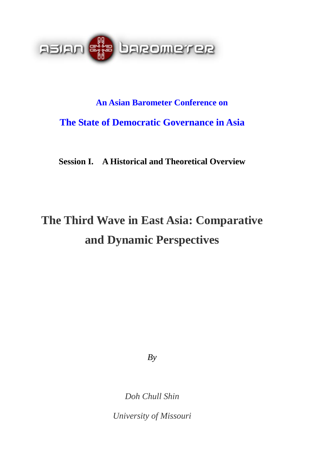

# **An Asian Barometer Conference on The State of Democratic Governance in Asia**

**Session I. A Historical and Theoretical Overview** 

# **The Third Wave in East Asia: Comparative and Dynamic Perspectives**

*By* 

*Doh Chull Shin* 

*University of Missouri*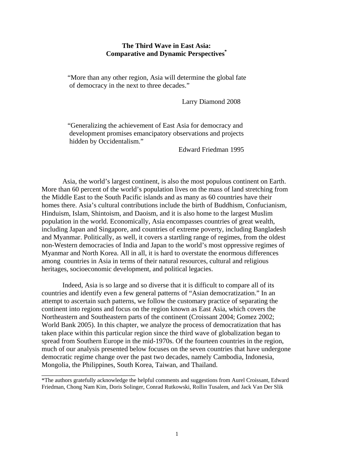# **The Third Wave in East Asia: Comparative and Dynamic Perspectives\***

 "More than any other region, Asia will determine the global fate of democracy in the next to three decades."

Larry Diamond 2008

 "Generalizing the achievement of East Asia for democracy and development promises emancipatory observations and projects hidden by Occidentalism."

Edward Friedman 1995

Asia, the world's largest continent, is also the most populous continent on Earth. More than 60 percent of the world's population lives on the mass of land stretching from the Middle East to the South Pacific islands and as many as 60 countries have their homes there. Asia's cultural contributions include the birth of Buddhism, Confucianism, Hinduism, Islam, Shintoism, and Daoism, and it is also home to the largest Muslim population in the world. Economically, Asia encompasses countries of great wealth, including Japan and Singapore, and countries of extreme poverty, including Bangladesh and Myanmar. Politically, as well, it covers a startling range of regimes, from the oldest non-Western democracies of India and Japan to the world's most oppressive regimes of Myanmar and North Korea. All in all, it is hard to overstate the enormous differences among countries in Asia in terms of their natural resources, cultural and religious heritages, socioeconomic development, and political legacies.

Indeed, Asia is so large and so diverse that it is difficult to compare all of its countries and identify even a few general patterns of "Asian democratization." In an attempt to ascertain such patterns, we follow the customary practice of separating the continent into regions and focus on the region known as East Asia, which covers the Northeastern and Southeastern parts of the continent (Croissant 2004; Gomez 2002; World Bank 2005). In this chapter, we analyze the process of democratization that has taken place within this particular region since the third wave of globalization began to spread from Southern Europe in the mid-1970s. Of the fourteen countries in the region, much of our analysis presented below focuses on the seven countries that have undergone democratic regime change over the past two decades, namely Cambodia, Indonesia, Mongolia, the Philippines, South Korea, Taiwan, and Thailand.

\*The authors gratefully acknowledge the helpful comments and suggestions from Aurel Croissant, Edward Friedman, Chong Nam Kim, Doris Solinger, Conrad Rutkowski, Rollin Tusalem, and Jack Van Der Slik

\_\_\_\_\_\_\_\_\_\_\_\_\_\_\_\_\_\_\_\_\_\_\_\_\_\_\_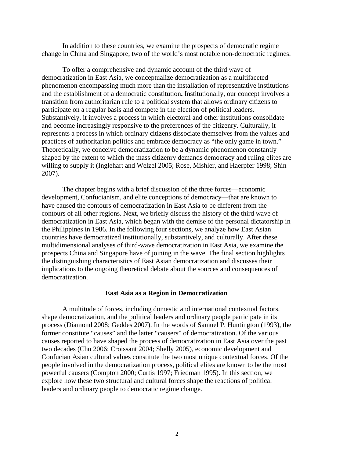In addition to these countries, we examine the prospects of democratic regime change in China and Singapore, two of the world's most notable non-democratic regimes.

To offer a comprehensive and dynamic account of the third wave of democratization in East Asia, we conceptualize democratization as a multifaceted phenomenon encompassing much more than the installation of representative institutions and the establishment of a democratic constitution**.** Institutionally, our concept involves a transition from authoritarian rule to a political system that allows ordinary citizens to participate on a regular basis and compete in the election of political leaders. Substantively, it involves a process in which electoral and other institutions consolidate and become increasingly responsive to the preferences of the citizenry. Culturally, it represents a process in which ordinary citizens dissociate themselves from the values and practices of authoritarian politics and embrace democracy as "the only game in town." Theoretically, we conceive democratization to be a dynamic phenomenon constantly shaped by the extent to which the mass citizenry demands democracy and ruling elites are willing to supply it (Inglehart and Welzel 2005; Rose, Mishler, and Haerpfer 1998; Shin 2007).

The chapter begins with a brief discussion of the three forces—economic development, Confucianism, and elite conceptions of democracy—that are known to have caused the contours of democratization in East Asia to be different from the contours of all other regions. Next, we briefly discuss the history of the third wave of democratization in East Asia, which began with the demise of the personal dictatorship in the Philippines in 1986. In the following four sections, we analyze how East Asian countries have democratized institutionally, substantively, and culturally. After these multidimensional analyses of third-wave democratization in East Asia, we examine the prospects China and Singapore have of joining in the wave. The final section highlights the distinguishing characteristics of East Asian democratization and discusses their implications to the ongoing theoretical debate about the sources and consequences of democratization.

#### **East Asia as a Region in Democratization**

A multitude of forces, including domestic and international contextual factors, shape democratization, and the political leaders and ordinary people participate in its process (Diamond 2008; Geddes 2007). In the words of Samuel P. Huntington (1993), the former constitute "causes" and the latter "causers" of democratization. Of the various causes reported to have shaped the process of democratization in East Asia over the past two decades (Chu 2006; Croissant 2004; Shelly 2005), economic development and Confucian Asian cultural values constitute the two most unique contextual forces. Of the people involved in the democratization process, political elites are known to be the most powerful causers (Compton 2000; Curtis 1997; Friedman 1995). In this section, we explore how these two structural and cultural forces shape the reactions of political leaders and ordinary people to democratic regime change.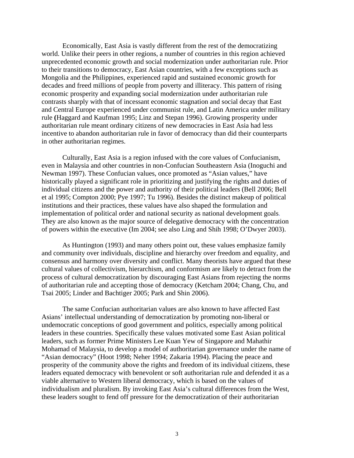Economically, East Asia is vastly different from the rest of the democratizing world. Unlike their peers in other regions, a number of countries in this region achieved unprecedented economic growth and social modernization under authoritarian rule. Prior to their transitions to democracy, East Asian countries, with a few exceptions such as Mongolia and the Philippines, experienced rapid and sustained economic growth for decades and freed millions of people from poverty and illiteracy. This pattern of rising economic prosperity and expanding social modernization under authoritarian rule contrasts sharply with that of incessant economic stagnation and social decay that East and Central Europe experienced under communist rule, and Latin America under military rule **(**Haggard and Kaufman 1995; Linz and Stepan 1996). Growing prosperity under authoritarian rule meant ordinary citizens of new democracies in East Asia had less incentive to abandon authoritarian rule in favor of democracy than did their counterparts in other authoritarian regimes.

Culturally, East Asia is a region infused with the core values of Confucianism, even in Malaysia and other countries in non-Confucian Southeastern Asia (Inoguchi and Newman 1997). These Confucian values, once promoted as "Asian values," have historically played a significant role in prioritizing and justifying the rights and duties of individual citizens and the power and authority of their political leaders (Bell 2006; Bell et al 1995; Compton 2000; Pye 1997; Tu 1996). Besides the distinct makeup of political institutions and their practices, these values have also shaped the formulation and implementation of political order and national security as national development goals. They are also known as the major source of delegative democracy with the concentration of powers within the executive (Im 2004; see also Ling and Shih 1998; O'Dwyer 2003).

As Huntington (1993) and many others point out, these values emphasize family and community over individuals, discipline and hierarchy over freedom and equality, and consensus and harmony over diversity and conflict. Many theorists have argued that these cultural values of collectivism, hierarchism, and conformism are likely to detract from the process of cultural democratization by discouraging East Asians from rejecting the norms of authoritarian rule and accepting those of democracy (Ketcham 2004; Chang, Chu, and Tsai 2005; Linder and Bachtiger 2005; Park and Shin 2006).

The same Confucian authoritarian values are also known to have affected East Asians' intellectual understanding of democratization by promoting non-liberal or undemocratic conceptions of good government and politics, especially among political leaders in these countries. Specifically these values motivated some East Asian political leaders, such as former Prime Ministers Lee Kuan Yew of Singapore and Mahathir Mohamad of Malaysia, to develop a model of authoritarian governance under the name of "Asian democracy" (Hoot 1998; Neher 1994; Zakaria 1994). Placing the peace and prosperity of the community above the rights and freedom of its individual citizens, these leaders equated democracy with benevolent or soft authoritarian rule and defended it as a viable alternative to Western liberal democracy, which is based on the values of individualism and pluralism. By invoking East Asia's cultural differences from the West, these leaders sought to fend off pressure for the democratization of their authoritarian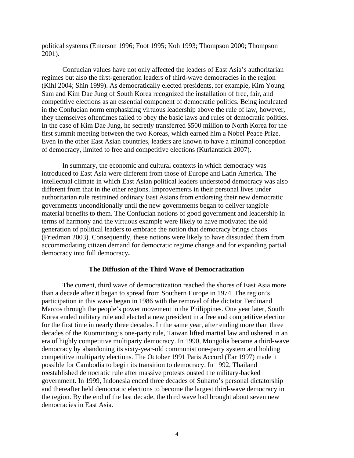political systems (Emerson 1996; Foot 1995; Koh 1993; Thompson 2000; Thompson 2001).

Confucian values have not only affected the leaders of East Asia's authoritarian regimes but also the first-generation leaders of third-wave democracies in the region (Kihl 2004; Shin 1999). As democratically elected presidents, for example, Kim Young Sam and Kim Dae Jung of South Korea recognized the installation of free, fair, and competitive elections as an essential component of democratic politics. Being inculcated in the Confucian norm emphasizing virtuous leadership above the rule of law, however, they themselves oftentimes failed to obey the basic laws and rules of democratic politics. In the case of Kim Dae Jung, he secretly transferred \$500 million to North Korea for the first summit meeting between the two Koreas, which earned him a Nobel Peace Prize. Even in the other East Asian countries, leaders are known to have a minimal conception of democracy, limited to free and competitive elections (Kurlantzick 2007).

In summary, the economic and cultural contexts in which democracy was introduced to East Asia were different from those of Europe and Latin America. The intellectual climate in which East Asian political leaders understood democracy was also different from that in the other regions. Improvements in their personal lives under authoritarian rule restrained ordinary East Asians from endorsing their new democratic governments unconditionally until the new governments began to deliver tangible material benefits to them. The Confucian notions of good government and leadership in terms of harmony and the virtuous example were likely to have motivated the old generation of political leaders to embrace the notion that democracy brings chaos (Friedman 2003). Consequently, these notions were likely to have dissuaded them from accommodating citizen demand for democratic regime change and for expanding partial democracy into full democracy**.** 

#### **The Diffusion of the Third Wave of Democratization**

The current, third wave of democratization reached the shores of East Asia more than a decade after it began to spread from Southern Europe in 1974. The region's participation in this wave began in 1986 with the removal of the dictator Ferdinand Marcos through the people's power movement in the Philippines. One year later, South Korea ended military rule and elected a new president in a free and competitive election for the first time in nearly three decades. In the same year, after ending more than three decades of the Kuomintang's one-party rule, Taiwan lifted martial law and ushered in an era of highly competitive multiparty democracy. In 1990, Mongolia became a third-wave democracy by abandoning its sixty-year-old communist one-party system and holding competitive multiparty elections. The October 1991 Paris Accord (Ear 1997) made it possible for Cambodia to begin its transition to democracy. In 1992, Thailand reestablished democratic rule after massive protests ousted the military-backed government. In 1999, Indonesia ended three decades of Suharto's personal dictatorship and thereafter held democratic elections to become the largest third-wave democracy in the region. By the end of the last decade, the third wave had brought about seven new democracies in East Asia.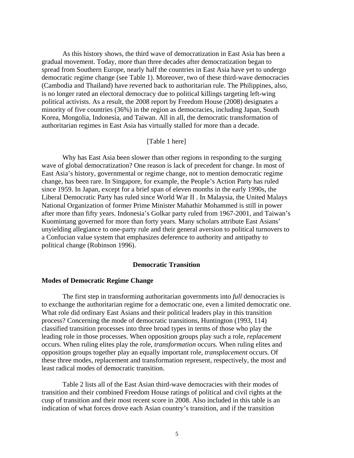As this history shows, the third wave of democratization in East Asia has been a gradual movement. Today, more than three decades after democratization began to spread from Southern Europe, nearly half the countries in East Asia have yet to undergo democratic regime change (see Table 1). Moreover, two of these third-wave democracies (Cambodia and Thailand) have reverted back to authoritarian rule. The Philippines, also, is no longer rated an electoral democracy due to political killings targeting left-wing political activists. As a result, the 2008 report by Freedom House (2008) designates a minority of five countries (36%) in the region as democracies, including Japan, South Korea, Mongolia, Indonesia, and Taiwan. All in all, the democratic transformation of authoritarian regimes in East Asia has virtually stalled for more than a decade.

#### [Table 1 here]

Why has East Asia been slower than other regions in responding to the surging wave of global democratization? One reason is lack of precedent for change. In most of East Asia's history, governmental or regime change, not to mention democratic regime change, has been rare. In Singapore, for example, the People's Action Party has ruled since 1959. In Japan, except for a brief span of eleven months in the early 1990s, the Liberal Democratic Party has ruled since World War II . In Malaysia, the United Malays National Organization of former Prime Minister Mahathir Mohammed is still in power after more than fifty years. Indonesia's Golkar party ruled from 1967-2001, and Taiwan's Kuomintang governed for more than forty years. Many scholars attribute East Asians' unyielding allegiance to one-party rule and their general aversion to political turnovers to a Confucian value system that emphasizes deference to authority and antipathy to political change (Robinson 1996).

## **Democratic Transition**

#### **Modes of Democratic Regime Change**

The first step in transforming authoritarian governments into *full* democracies is to exchange the authoritarian regime for a democratic one, even a limited democratic one. What role did ordinary East Asians and their political leaders play in this transition process? Concerning the mode of democratic transitions, Huntington (1993, 114) classified transition processes into three broad types in terms of those who play the leading role in those processes. When opposition groups play such a role, *replacement* occurs. When ruling elites play the role, *transformation* occurs. When ruling elites and opposition groups together play an equally important role, *transplacement* occurs. Of these three modes, replacement and transformation represent, respectively, the most and least radical modes of democratic transition.

Table 2 lists all of the East Asian third-wave democracies with their modes of transition and their combined Freedom House ratings of political and civil rights at the cusp of transition and their most recent score in 2008. Also included in this table is an indication of what forces drove each Asian country's transition, and if the transition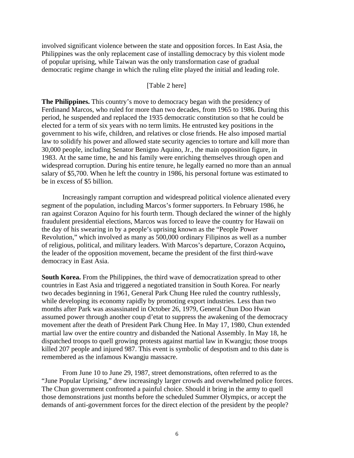involved significant violence between the state and opposition forces. In East Asia, the Philippines was the only replacement case of installing democracy by this violent mode of popular uprising, while Taiwan was the only transformation case of gradual democratic regime change in which the ruling elite played the initial and leading role.

## [Table 2 here]

**The Philippines.** This country's move to democracy began with the presidency of Ferdinand Marcos, who ruled for more than two decades, from 1965 to 1986. During this period, he suspended and replaced the 1935 democratic constitution so that he could be elected for a term of six years with no term limits. He entrusted key positions in the government to his wife, children, and relatives or close friends. He also imposed martial law to solidify his power and allowed state security agencies to torture and kill more than 30,000 people, including Senator Benigno Aquino, Jr., the main opposition figure, in 1983. At the same time, he and his family were enriching themselves through open and widespread corruption. During his entire tenure, he legally earned no more than an annual salary of \$5,700. When he left the country in 1986, his personal fortune was estimated to be in excess of \$5 billion.

Increasingly rampant corruption and widespread political violence alienated every segment of the population, including Marcos's former supporters. In February 1986, he ran against Corazon Aquino for his fourth term. Though declared the winner of the highly fraudulent presidential elections, Marcos was forced to leave the country for Hawaii on the day of his swearing in by a people's uprising known as the "People Power Revolution," which involved as many as 500,000 ordinary Filipinos as well as a number of religious, political, and military leaders. With Marcos's departure, Corazon Acquino**,** the leader of the opposition movement, became the president of the first third-wave democracy in East Asia.

**South Korea.** From the Philippines, the third wave of democratization spread to other countries in East Asia and triggered a negotiated transition in South Korea. For nearly two decades beginning in 1961, General Park Chung Hee ruled the country ruthlessly, while developing its economy rapidly by promoting export industries. Less than two months after Park was assassinated in October 26, 1979, General Chun Doo Hwan assumed power through another coup d'etat to suppress the awakening of the democracy movement after the death of President Park Chung Hee. In May 17, 1980, Chun extended martial law over the entire country and disbanded the National Assembly. In May 18, he dispatched troops to quell growing protests against martial law in Kwangju; those troops killed 207 people and injured 987. This event is symbolic of despotism and to this date is remembered as the infamous Kwangju massacre.

From June 10 to June 29, 1987, street demonstrations, often referred to as the "June Popular Uprising," drew increasingly larger crowds and overwhelmed police forces. The Chun government confronted a painful choice. Should it bring in the army to quell those demonstrations just months before the scheduled Summer Olympics, or accept the demands of anti-government forces for the direct election of the president by the people?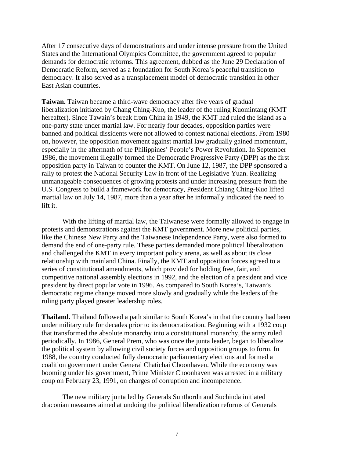After 17 consecutive days of demonstrations and under intense pressure from the United States and the International Olympics Committee, the government agreed to popular demands for democratic reforms. This agreement, dubbed as the June 29 Declaration of Democratic Reform, served as a foundation for South Korea's peaceful transition to democracy. It also served as a transplacement model of democratic transition in other East Asian countries.

**Taiwan.** Taiwan became a third-wave democracy after five years of gradual liberalization initiated by Chang Ching-Kuo, the leader of the ruling Kuomintang (KMT hereafter). Since Tawain's break from China in 1949, the KMT had ruled the island as a one-party state under martial law. For nearly four decades, opposition parties were banned and political dissidents were not allowed to contest national elections. From 1980 on, however, the opposition movement against martial law gradually gained momentum, especially in the aftermath of the Philippines' People's Power Revolution. In September 1986, the movement illegally formed the Democratic Progressive Party (DPP) as the first opposition party in Taiwan to counter the KMT. On June 12, 1987, the DPP sponsored a rally to protest the National Security Law in front of the Legislative Yuan. Realizing unmanageable consequences of growing protests and under increasing pressure from the U.S. Congress to build a framework for democracy, President Chiang Ching-Kuo lifted martial law on July 14, 1987, more than a year after he informally indicated the need to lift it.

With the lifting of martial law, the Taiwanese were formally allowed to engage in protests and demonstrations against the KMT government. More new political parties, like the Chinese New Party and the Taiwanese Independence Party, were also formed to demand the end of one-party rule. These parties demanded more political liberalization and challenged the KMT in every important policy arena, as well as about its close relationship with mainland China. Finally, the KMT and opposition forces agreed to a series of constitutional amendments, which provided for holding free, fair, and competitive national assembly elections in 1992, and the election of a president and vice president by direct popular vote in 1996. As compared to South Korea's, Taiwan's democratic regime change moved more slowly and gradually while the leaders of the ruling party played greater leadership roles.

**Thailand.** Thailand followed a path similar to South Korea's in that the country had been under military rule for decades prior to its democratization. Beginning with a 1932 coup that transformed the absolute monarchy into a constitutional monarchy, the army ruled periodically. In 1986, General Prem, who was once the junta leader, began to liberalize the political system by allowing civil society forces and opposition groups to form. In 1988, the country conducted fully democratic parliamentary elections and formed a coalition government under General Chatichai Choonhaven. While the economy was booming under his government, Prime Minister Choonhaven was arrested in a military coup on February 23, 1991, on charges of corruption and incompetence.

The new military junta led by Generals Sunthordn and Suchinda initiated draconian measures aimed at undoing the political liberalization reforms of Generals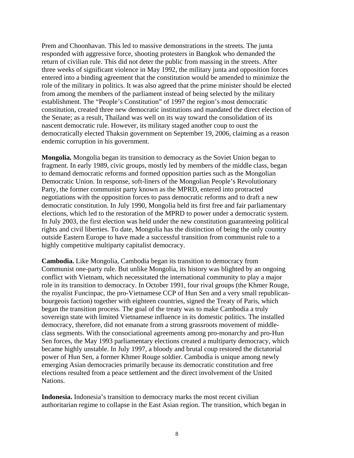Prem and Choonhavan. This led to massive demonstrations in the streets. The junta responded with aggressive force, shooting protesters in Bangkok who demanded the return of civilian rule. This did not deter the public from massing in the streets. After three weeks of significant violence in May 1992, the military junta and opposition forces entered into a binding agreement that the constitution would be amended to minimize the role of the military in politics. It was also agreed that the prime minister should be elected from among the members of the parliament instead of being selected by the military establishment. The "People's Constitution" of 1997 the region's most democratic constitution, created three new democratic institutions and mandated the direct election of the Senate; as a result, Thailand was well on its way toward the consolidation of its nascent democratic rule. However, its military staged another coup to oust the democratically elected Thaksin government on September 19, 2006, claiming as a reason endemic corruption in his government.

**Mongolia.** Mongolia began its transition to democracy as the Soviet Union began to fragment. In early 1989, civic groups, mostly led by members of the middle class, began to demand democratic reforms and formed opposition parties such as the Mongolian Democratic Union. In response, soft-liners of the Mongolian People's Revolutionary Party, the former communist party known as the MPRD, entered into protracted negotiations with the opposition forces to pass democratic reforms and to draft a new democratic constitution. In July 1990, Mongolia held its first free and fair parliamentary elections, which led to the restoration of the MPRD to power under a democratic system. In July 2003, the first election was held under the new constitution guaranteeing political rights and civil liberties. To date, Mongolia has the distinction of being the only country outside Eastern Europe to have made a successful transition from communist rule to a highly competitive multiparty capitalist democracy.

**Cambodia.** Like Mongolia, Cambodia began its transition to democracy from Communist one-party rule. But unlike Mongolia, its history was blighted by an ongoing conflict with Vietnam, which necessitated the international community to play a major role in its transition to democracy. In October 1991, four rival groups (the Khmer Rouge, the royalist Funcinpac, the pro-Vietnamese CCP of Hun Sen and a very small republicanbourgeois faction) together with eighteen countries, signed the Treaty of Paris, which began the transition process. The goal of the treaty was to make Cambodia a truly sovereign state with limited Vietnamese influence in its domestic politics. The installed democracy, therefore, did not emanate from a strong grassroots movement of middleclass segments. With the consociational agreements among pro-monarchy and pro-Hun Sen forces, the May 1993 parliamentary elections created a multiparty democracy, which became highly unstable. In July 1997, a bloody and brutal coup restored the dictatorial power of Hun Sen, a former Khmer Rouge soldier. Cambodia is unique among newly emerging Asian democracies primarily because its democratic constitution and free elections resulted from a peace settlement and the direct involvement of the United Nations.

**Indonesia.** Indonesia's transition to democracy marks the most recent civilian authoritarian regime to collapse in the East Asian region. The transition, which began in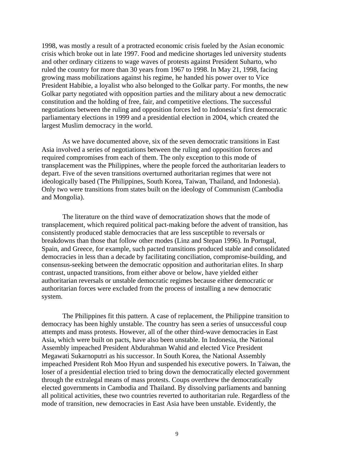1998, was mostly a result of a protracted economic crisis fueled by the Asian economic crisis which broke out in late 1997. Food and medicine shortages led university students and other ordinary citizens to wage waves of protests against President Suharto, who ruled the country for more than 30 years from 1967 to 1998. In May 21, 1998, facing growing mass mobilizations against his regime, he handed his power over to Vice President Habibie, a loyalist who also belonged to the Golkar party. For months, the new Golkar party negotiated with opposition parties and the military about a new democratic constitution and the holding of free, fair, and competitive elections. The successful negotiations between the ruling and opposition forces led to Indonesia's first democratic parliamentary elections in 1999 and a presidential election in 2004, which created the largest Muslim democracy in the world.

As we have documented above, six of the seven democratic transitions in East Asia involved a series of negotiations between the ruling and opposition forces and required compromises from each of them. The only exception to this mode of transplacement was the Philippines, where the people forced the authoritarian leaders to depart. Five of the seven transitions overturned authoritarian regimes that were not ideologically based (The Philippines, South Korea, Taiwan, Thailand, and Indonesia). Only two were transitions from states built on the ideology of Communism (Cambodia and Mongolia).

The literature on the third wave of democratization shows that the mode of transplacement, which required political pact-making before the advent of transition, has consistently produced stable democracies that are less susceptible to reversals or breakdowns than those that follow other modes (Linz and Stepan 1996). In Portugal, Spain, and Greece, for example, such pacted transitions produced stable and consolidated democracies in less than a decade by facilitating conciliation, compromise-building, and consensus-seeking between the democratic opposition and authoritarian elites. In sharp contrast, unpacted transitions, from either above or below, have yielded either authoritarian reversals or unstable democratic regimes because either democratic or authoritarian forces were excluded from the process of installing a new democratic system.

The Philippines fit this pattern. A case of replacement, the Philippine transition to democracy has been highly unstable. The country has seen a series of unsuccessful coup attempts and mass protests. However, all of the other third-wave democracies in East Asia, which were built on pacts, have also been unstable. In Indonesia, the National Assembly impeached President Abdurahman Wahid and elected Vice President Megawati Sukarnoputri as his successor. In South Korea, the National Assembly impeached President Roh Moo Hyun and suspended his executive powers. In Taiwan, the loser of a presidential election tried to bring down the democratically elected government through the extralegal means of mass protests. Coups overthrew the democratically elected governments in Cambodia and Thailand. By dissolving parliaments and banning all political activities, these two countries reverted to authoritarian rule. Regardless of the mode of transition, new democracies in East Asia have been unstable. Evidently, the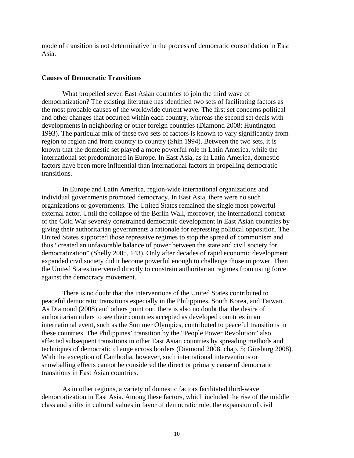mode of transition is not determinative in the process of democratic consolidation in East Asia.

## **Causes of Democratic Transitions**

What propelled seven East Asian countries to join the third wave of democratization? The existing literature has identified two sets of facilitating factors as the most probable causes of the worldwide current wave. The first set concerns political and other changes that occurred within each country, whereas the second set deals with developments in neighboring or other foreign countries (Diamond 2008; Huntington 1993). The particular mix of these two sets of factors is known to vary significantly from region to region and from country to country (Shin 1994). Between the two sets, it is known that the domestic set played a more powerful role in Latin America, while the international set predominated in Europe. In East Asia, as in Latin America, domestic factors have been more influential than international factors in propelling democratic transitions.

In Europe and Latin America, region-wide international organizations and individual governments promoted democracy. In East Asia, there were no such organizations or governments. The United States remained the single most powerful external actor. Until the collapse of the Berlin Wall, moreover, the international context of the Cold War severely constrained democratic development in East Asian countries by giving their authoritarian governments a rationale for repressing political opposition. The United States supported those repressive regimes to stop the spread of communism and thus "created an unfavorable balance of power between the state and civil society for democratization" (Shelly 2005, 143). Only after decades of rapid economic development expanded civil society did it become powerful enough to challenge those in power. Then the United States intervened directly to constrain authoritarian regimes from using force against the democracy movement.

There is no doubt that the interventions of the United States contributed to peaceful democratic transitions especially in the Philippines, South Korea, and Taiwan. As Diamond (2008) and others point out, there is also no doubt that the desire of authoritarian rulers to see their countries accepted as developed countries in an international event, such as the Summer Olympics, contributed to peaceful transitions in these countries. The Philippines' transition by the "People Power Revolution" also affected subsequent transitions in other East Asian countries by spreading methods and techniques of democratic change across borders (Diamond 2008, chap. 5; Ginsburg 2008). With the exception of Cambodia, however, such international interventions or snowballing effects cannot be considered the direct or primary cause of democratic transitions in East Asian countries.

As in other regions, a variety of domestic factors facilitated third-wave democratization in East Asia. Among these factors, which included the rise of the middle class and shifts in cultural values in favor of democratic rule, the expansion of civil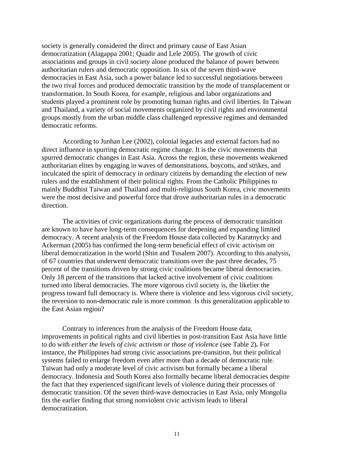society is generally considered the direct and primary cause of East Asian democratization (Alagappa 2001; Quadir and Lele 2005). The growth of civic associations and groups in civil society alone produced the balance of power between authoritarian rulers and democratic opposition. In six of the seven third-wave democracies in East Asia, such a power balance led to successful negotiations between the two rival forces and produced democratic transition by the mode of transplacement or transformation. In South Korea, for example, religious and labor organizations and students played a prominent role by promoting human rights and civil liberties. In Taiwan and Thailand, a variety of social movements organized by civil rights and environmental groups mostly from the urban middle class challenged repressive regimes and demanded democratic reforms.

According to Junhan Lee (2002), colonial legacies and external factors had no direct influence in spurring democratic regime change. It is the civic movements that spurred democratic changes in East Asia. Across the region, these movements weakened authoritarian elites by engaging in waves of demonstrations, boycotts, and strikes, and inculcated the spirit of democracy in ordinary citizens by demanding the election of new rulers and the establishment of their political rights. From the Catholic Philippines to mainly Buddhist Taiwan and Thailand and multi-religious South Korea, civic movements were the most decisive and powerful force that drove authoritarian rules in a democratic direction.

The activities of civic organizations during the process of democratic transition are known to have have long-term consequences for deepening and expanding limited democracy. A recent analysis of the Freedom House data collected by Karatnycky and Ackerman (2005) has confirmed the long-term beneficial effect of civic activism on liberal democratization in the world (Shin and Tusalem 2007). According to this analysis, of 67 countries that underwent democratic transitions over the past three decades, 75 percent of the transitions driven by strong civic coalitions became liberal democracies. Only 18 percent of the transitions that lacked active involvement of civic coalitions turned into liberal democracies. The more vigorous civil society is, the likelier the progress toward full democracy is. Where there is violence and less vigorous civil society, the reversion to non-democratic rule is more common. Is this generalization applicable to the East Asian region?

Contrary to inferences from the analysis of the Freedom House data, improvements in political rights and civil liberties in post-transition East Asia have little to do with *either the levels of civic activism or those of violence* (see Table 2)**.** For instance, the Philippines had strong civic associations pre-transition, but their political systems failed to enlarge freedom even after more than a decade of democratic rule. Taiwan had only a moderate level of civic activism but formally became a liberal democracy. Indonesia and South Korea also formally became liberal democracies despite the fact that they experienced significant levels of violence during their processes of democratic transition. Of the seven third-wave democracies in East Asia, only Mongolia fits the earlier finding that strong nonviolent civic activism leads to liberal democratization.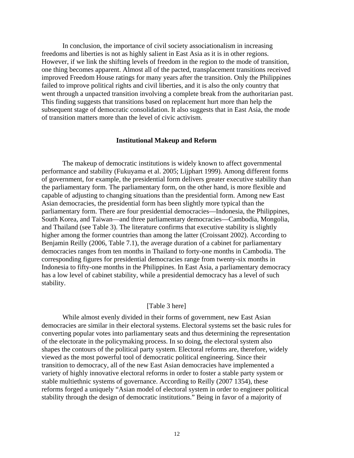In conclusion, the importance of civil society associationalism in increasing freedoms and liberties is not as highly salient in East Asia as it is in other regions. However, if we link the shifting levels of freedom in the region to the mode of transition, one thing becomes apparent. Almost all of the pacted, transplacement transitions received improved Freedom House ratings for many years after the transition. Only the Philippines failed to improve political rights and civil liberties, and it is also the only country that went through a unpacted transition involving a complete break from the authoritarian past. This finding suggests that transitions based on replacement hurt more than help the subsequent stage of democratic consolidation. It also suggests that in East Asia, the mode of transition matters more than the level of civic activism.

#### **Institutional Makeup and Reform**

The makeup of democratic institutions is widely known to affect governmental performance and stability (Fukuyama et al. 2005; Lijphart 1999). Among different forms of government, for example, the presidential form delivers greater executive stability than the parliamentary form. The parliamentary form, on the other hand, is more flexible and capable of adjusting to changing situations than the presidential form. Among new East Asian democracies, the presidential form has been slightly more typical than the parliamentary form. There are four presidential democracies—Indonesia, the Philippines, South Korea, and Taiwan—and three parliamentary democracies—Cambodia, Mongolia, and Thailand (see Table 3). The literature confirms that executive stability is slightly higher among the former countries than among the latter (Croissant 2002). According to Benjamin Reilly (2006, Table 7.1), the average duration of a cabinet for parliamentary democracies ranges from ten months in Thailand to forty-one months in Cambodia. The corresponding figures for presidential democracies range from twenty-six months in Indonesia to fifty-one months in the Philippines. In East Asia, a parliamentary democracy has a low level of cabinet stability, while a presidential democracy has a level of such stability.

#### [Table 3 here]

While almost evenly divided in their forms of government, new East Asian democracies are similar in their electoral systems. Electoral systems set the basic rules for converting popular votes into parliamentary seats and thus determining the representation of the electorate in the policymaking process. In so doing, the electoral system also shapes the contours of the political party system. Electoral reforms are, therefore, widely viewed as the most powerful tool of democratic political engineering. Since their transition to democracy, all of the new East Asian democracies have implemented a variety of highly innovative electoral reforms in order to foster a stable party system or stable multiethnic systems of governance. According to Reilly (2007 1354), these reforms forged a uniquely "Asian model of electoral system in order to engineer political stability through the design of democratic institutions." Being in favor of a majority of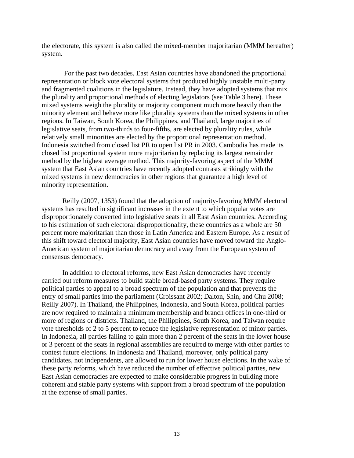the electorate, this system is also called the mixed-member majoritarian (MMM hereafter) system.

 For the past two decades, East Asian countries have abandoned the proportional representation or block vote electoral systems that produced highly unstable multi-party and fragmented coalitions in the legislature. Instead, they have adopted systems that mix the plurality and proportional methods of electing legislators (see Table 3 here). These mixed systems weigh the plurality or majority component much more heavily than the minority element and behave more like plurality systems than the mixed systems in other regions. In Taiwan, South Korea, the Philippines, and Thailand, large majorities of legislative seats, from two-thirds to four-fifths, are elected by plurality rules, while relatively small minorities are elected by the proportional representation method. Indonesia switched from closed list PR to open list PR in 2003. Cambodia has made its closed list proportional system more majoritarian by replacing its largest remainder method by the highest average method. This majority-favoring aspect of the MMM system that East Asian countries have recently adopted contrasts strikingly with the mixed systems in new democracies in other regions that guarantee a high level of minority representation.

Reilly (2007, 1353) found that the adoption of majority-favoring MMM electoral systems has resulted in significant increases in the extent to which popular votes are disproportionately converted into legislative seats in all East Asian countries. According to his estimation of such electoral disproportionality, these countries as a whole are 50 percent more majoritarian than those in Latin America and Eastern Europe. As a result of this shift toward electoral majority, East Asian countries have moved toward the Anglo-American system of majoritarian democracy and away from the European system of consensus democracy.

In addition to electoral reforms, new East Asian democracies have recently carried out reform measures to build stable broad-based party systems. They require political parties to appeal to a broad spectrum of the population and that prevents the entry of small parties into the parliament (Croissant 2002; Dalton, Shin, and Chu 2008; Reilly 2007). In Thailand, the Philippines, Indonesia, and South Korea, political parties are now required to maintain a minimum membership and branch offices in one-third or more of regions or districts. Thailand, the Philippines, South Korea, and Taiwan require vote thresholds of 2 to 5 percent to reduce the legislative representation of minor parties. In Indonesia, all parties failing to gain more than 2 percent of the seats in the lower house or 3 percent of the seats in regional assemblies are required to merge with other parties to contest future elections. In Indonesia and Thailand, moreover, only political party candidates, not independents, are allowed to run for lower house elections. In the wake of these party reforms, which have reduced the number of effective political parties, new East Asian democracies are expected to make considerable progress in building more coherent and stable party systems with support from a broad spectrum of the population at the expense of small parties.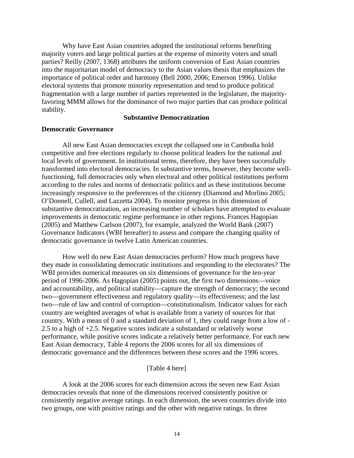Why have East Asian countries adopted the institutional reforms benefiting majority voters and large political parties at the expense of minority voters and small parties? Reilly (2007, 1368) attributes the uniform conversion of East Asian countries into the majoritarian model of democracy to the Asian values thesis that emphasizes the importance of political order and harmony (Bell 2000, 2006; Emerson 1996). Unlike electoral systems that promote minority representation and tend to produce political fragmentation with a large number of parties represented in the legislature, the majorityfavoring MMM allows for the dominance of two major parties that can produce political stability.

#### **Substantive Democratization**

#### **Democratic Governance**

All new East Asian democracies except the collapsed one in Cambodia hold competitive and free elections regularly to choose political leaders for the national and local levels of government. In institutional terms, therefore, they have been successfully transformed into electoral democracies. In substantive terms, however, they become wellfunctioning, full democracies only when electoral and other political institutions perform according to the rules and norms of democratic politics and as these institutions become increasingly responsive to the preferences of the citizenry (Diamond and Morlino 2005; O'Donnell, Cullell, and Lazzetta 2004). To monitor progress in this dimension of substantive democratization, an increasing number of scholars have attempted to evaluate improvements in democratic regime performance in other regions. Frances Hagopian (2005) and Matthew Carlson (2007), for example, analyzed the World Bank (2007) Governance Indicators (WBI hereafter) to assess and compare the changing quality of democratic governance in twelve Latin American countries.

How well do new East Asian democracies perform? How much progress have they made in consolidating democratic institutions and responding to the electorates? The WBI provides numerical measures on six dimensions of governance for the ten-year period of 1996-2006. As Hagopian (2005) points out, the first two dimensions—voice and accountability, and political stability—capture the strength of democracy; the second two—government effectiveness and regulatory quality—its effectiveness; and the last two—rule of law and control of corruption—constitutionalism. Indicator values for each country are weighted averages of what is available from a variety of sources for that country. With a mean of 0 and a standard deviation of 1, they could range from a low of - 2.5 to a high of +2.5. Negative scores indicate a substandard or relatively worse performance, while positive scores indicate a relatively better performance. For each new East Asian democracy, Table 4 reports the 2006 scores for all six dimensions of democratic governance and the differences between these scores and the 1996 scores.

#### [Table 4 here]

A look at the 2006 scores for each dimension across the seven new East Asian democracies reveals that none of the dimensions received consistently positive or consistently negative average ratings. In each dimension, the seven countries divide into two groups, one with positive ratings and the other with negative ratings. In three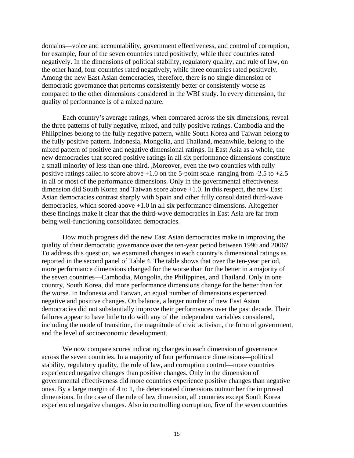domains—voice and accountability, government effectiveness, and control of corruption, for example, four of the seven countries rated positively, while three countries rated negatively. In the dimensions of political stability, regulatory quality, and rule of law, on the other hand, four countries rated negatively, while three countries rated positively. Among the new East Asian democracies, therefore, there is no single dimension of democratic governance that performs consistently better or consistently worse as compared to the other dimensions considered in the WBI study. In every dimension, the quality of performance is of a mixed nature.

Each country's average ratings, when compared across the six dimensions, reveal the three patterns of fully negative, mixed, and fully positive ratings. Cambodia and the Philippines belong to the fully negative pattern, while South Korea and Taiwan belong to the fully positive pattern. Indonesia, Mongolia, and Thailand, meanwhile, belong to the mixed pattern of positive and negative dimensional ratings. In East Asia as a whole, the new democracies that scored positive ratings in all six performance dimensions constitute a small minority of less than one-third. ,Moreover, even the two countries with fully positive ratings failed to score above  $+1.0$  on the 5-point scale ranging from  $-2.5$  to  $+2.5$ in all or most of the performance dimensions. Only in the governmental effectiveness dimension did South Korea and Taiwan score above +1.0. In this respect, the new East Asian democracies contrast sharply with Spain and other fully consolidated third-wave democracies, which scored above +1.0 in all six performance dimensions. Altogether these findings make it clear that the third-wave democracies in East Asia are far from being well-functioning consolidated democracies.

How much progress did the new East Asian democracies make in improving the quality of their democratic governance over the ten-year period between 1996 and 2006? To address this question, we examined changes in each country's dimensional ratings as reported in the second panel of Table 4. The table shows that over the ten-year period, more performance dimensions changed for the worse than for the better in a majority of the seven countries—Cambodia, Mongolia, the Philippines, and Thailand. Only in one country, South Korea, did more performance dimensions change for the better than for the worse. In Indonesia and Taiwan, an equal number of dimensions experienced negative and positive changes. On balance, a larger number of new East Asian democracies did not substantially improve their performances over the past decade. Their failures appear to have little to do with any of the independent variables considered, including the mode of transition, the magnitude of civic activism, the form of government, and the level of socioeconomic development.

We now compare scores indicating changes in each dimension of governance across the seven countries. In a majority of four performance dimensions—political stability, regulatory quality, the rule of law, and corruption control—more countries experienced negative changes than positive changes. Only in the dimension of governmental effectiveness did more countries experience positive changes than negative ones. By a large margin of 4 to 1, the deteriorated dimensions outnumber the improved dimensions. In the case of the rule of law dimension, all countries except South Korea experienced negative changes. Also in controlling corruption, five of the seven countries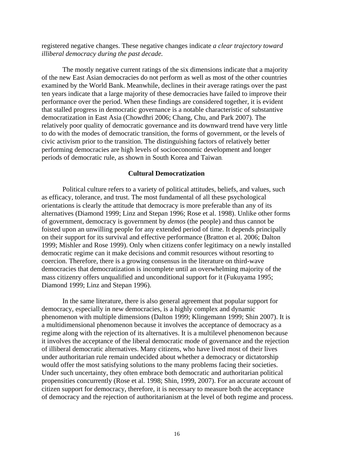registered negative changes. These negative changes indicate *a clear trajectory toward illiberal democracy during the past decade.*

The mostly negative current ratings of the six dimensions indicate that a majority of the new East Asian democracies do not perform as well as most of the other countries examined by the World Bank. Meanwhile, declines in their average ratings over the past ten years indicate that a large majority of these democracies have failed to improve their performance over the period. When these findings are considered together, it is evident that stalled progress in democratic governance is a notable characteristic of substantive democratization in East Asia (Chowdhri 2006; Chang, Chu, and Park 2007). The relatively poor quality of democratic governance and its downward trend have very little to do with the modes of democratic transition, the forms of government, or the levels of civic activism prior to the transition. The distinguishing factors of relatively better performing democracies are high levels of socioeconomic development and longer periods of democratic rule, as shown in South Korea and Taiwan.

#### **Cultural Democratization**

Political culture refers to a variety of political attitudes, beliefs, and values, such as efficacy, tolerance, and trust. The most fundamental of all these psychological orientations is clearly the attitude that democracy is more preferable than any of its alternatives (Diamond 1999; Linz and Stepan 1996; Rose et al. 1998). Unlike other forms of government, democracy is government by *demos* (the people) and thus cannot be foisted upon an unwilling people for any extended period of time. It depends principally on their support for its survival and effective performance (Bratton et al. 2006; Dalton 1999; Mishler and Rose 1999). Only when citizens confer legitimacy on a newly installed democratic regime can it make decisions and commit resources without resorting to coercion. Therefore, there is a growing consensus in the literature on third-wave democracies that democratization is incomplete until an overwhelming majority of the mass citizenry offers unqualified and unconditional support for it (Fukuyama 1995; Diamond 1999; Linz and Stepan 1996).

In the same literature, there is also general agreement that popular support for democracy, especially in new democracies, is a highly complex and dynamic phenomenon with multiple dimensions (Dalton 1999; Klingemann 1999; Shin 2007). It is a multidimensional phenomenon because it involves the acceptance of democracy as a regime along with the rejection of its alternatives. It is a multilevel phenomenon because it involves the acceptance of the liberal democratic mode of governance and the rejection of illiberal democratic alternatives. Many citizens, who have lived most of their lives under authoritarian rule remain undecided about whether a democracy or dictatorship would offer the most satisfying solutions to the many problems facing their societies. Under such uncertainty, they often embrace both democratic and authoritarian political propensities concurrently (Rose et al. 1998; Shin, 1999, 2007). For an accurate account of citizen support for democracy, therefore, it is necessary to measure both the acceptance of democracy and the rejection of authoritarianism at the level of both regime and process.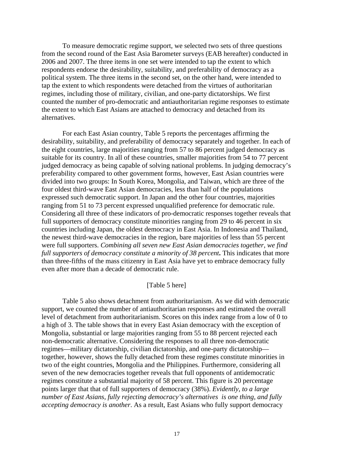To measure democratic regime support, we selected two sets of three questions from the second round of the East Asia Barometer surveys (EAB hereafter) conducted in 2006 and 2007. The three items in one set were intended to tap the extent to which respondents endorse the desirability, suitability, and preferability of democracy as a political system. The three items in the second set, on the other hand, were intended to tap the extent to which respondents were detached from the virtues of authoritarian regimes, including those of military, civilian, and one-party dictatorships. We first counted the number of pro-democratic and antiauthoritarian regime responses to estimate the extent to which East Asians are attached to democracy and detached from its alternatives.

For each East Asian country, Table 5 reports the percentages affirming the desirability, suitability, and preferability of democracy separately and together. In each of the eight countries, large majorities ranging from 57 to 86 percent judged democracy as suitable for its country. In all of these countries, smaller majorities from 54 to 77 percent judged democracy as being capable of solving national problems. In judging democracy's preferability compared to other government forms, however, East Asian countries were divided into two groups: In South Korea, Mongolia, and Taiwan, which are three of the four oldest third-wave East Asian democracies, less than half of the populations expressed such democratic support. In Japan and the other four countries, majorities ranging from 51 to 73 percent expressed unqualified preference for democratic rule. Considering all three of these indicators of pro-democratic responses together reveals that full supporters of democracy constitute minorities ranging from 29 to 46 percent in six countries including Japan, the oldest democracy in East Asia. In Indonesia and Thailand, the newest third-wave democracies in the region, bare majorities of less than 55 percent were full supporters. *Combining all seven new East Asian democracies together, we find full supporters of democracy constitute a minority of 38 percent***.** This indicates that more than three-fifths of the mass citizenry in East Asia have yet to embrace democracy fully even after more than a decade of democratic rule.

## [Table 5 here]

Table 5 also shows detachment from authoritarianism. As we did with democratic support, we counted the number of antiauthoritarian responses and estimated the overall level of detachment from authoritarianism. Scores on this index range from a low of 0 to a high of 3. The table shows that in every East Asian democracy with the exception of Mongolia, substantial or large majorities ranging from 55 to 88 percent rejected each non-democratic alternative. Considering the responses to all three non-democratic regimes—military dictatorship, civilian dictatorship, and one-party dictatorship together, however, shows the fully detached from these regimes constitute minorities in two of the eight countries, Mongolia and the Philippines. Furthermore, considering all seven of the new democracies together reveals that full opponents of antidemocratic regimes constitute a substantial majority of 58 percent. This figure is 20 percentage points larger that that of full supporters of democracy (38%). *Evidently, to a large number of East Asians, fully rejecting democracy's alternatives is one thing, and fully accepting democracy is another*. As a result, East Asians who fully support democracy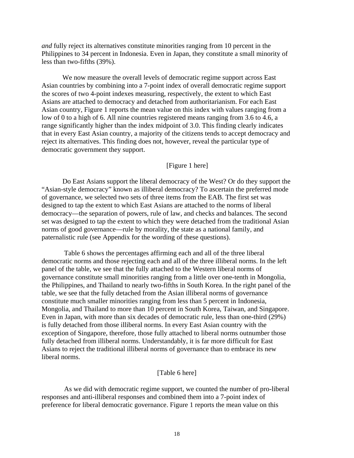*and* fully reject its alternatives constitute minorities ranging from 10 percent in the Philippines to 34 percent in Indonesia. Even in Japan, they constitute a small minority of less than two-fifths (39%).

We now measure the overall levels of democratic regime support across East Asian countries by combining into a 7-point index of overall democratic regime support the scores of two 4-point indexes measuring, respectively, the extent to which East Asians are attached to democracy and detached from authoritarianism. For each East Asian country, Figure 1 reports the mean value on this index with values ranging from a low of 0 to a high of 6. All nine countries registered means ranging from 3.6 to 4.6, a range significantly higher than the index midpoint of 3.0. This finding clearly indicates that in every East Asian country, a majority of the citizens tends to accept democracy and reject its alternatives. This finding does not, however, reveal the particular type of democratic government they support.

# [Figure 1 here]

Do East Asians support the liberal democracy of the West? Or do they support the "Asian-style democracy" known as illiberal democracy? To ascertain the preferred mode of governance, we selected two sets of three items from the EAB. The first set was designed to tap the extent to which East Asians are attached to the norms of liberal democracy—the separation of powers, rule of law, and checks and balances. The second set was designed to tap the extent to which they were detached from the traditional Asian norms of good governance—rule by morality, the state as a national family, and paternalistic rule (see Appendix for the wording of these questions).

 Table 6 shows the percentages affirming each and all of the three liberal democratic norms and those rejecting each and all of the three illiberal norms. In the left panel of the table, we see that the fully attached to the Western liberal norms of governance constitute small minorities ranging from a little over one-tenth in Mongolia, the Philippines, and Thailand to nearly two-fifths in South Korea. In the right panel of the table, we see that the fully detached from the Asian illiberal norms of governance constitute much smaller minorities ranging from less than 5 percent in Indonesia, Mongolia, and Thailand to more than 10 percent in South Korea, Taiwan, and Singapore. Even in Japan, with more than six decades of democratic rule, less than one-third (29%) is fully detached from those illiberal norms. In every East Asian country with the exception of Singapore, therefore, those fully attached to liberal norms outnumber those fully detached from illiberal norms. Understandably, it is far more difficult for East Asians to reject the traditional illiberal norms of governance than to embrace its new liberal norms.

#### [Table 6 here]

 As we did with democratic regime support, we counted the number of pro-liberal responses and anti-illiberal responses and combined them into a 7-point index of preference for liberal democratic governance. Figure 1 reports the mean value on this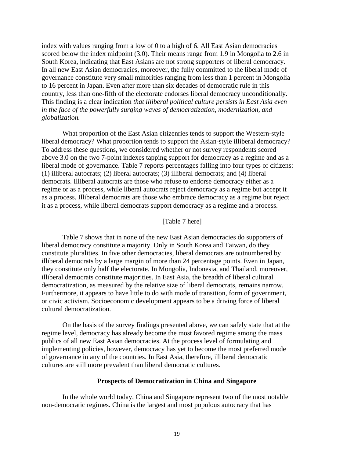index with values ranging from a low of 0 to a high of 6. All East Asian democracies scored below the index midpoint (3.0). Their means range from 1.9 in Mongolia to 2.6 in South Korea, indicating that East Asians are not strong supporters of liberal democracy. In all new East Asian democracies, moreover, the fully committed to the liberal mode of governance constitute very small minorities ranging from less than 1 percent in Mongolia to 16 percent in Japan. Even after more than six decades of democratic rule in this country, less than one-fifth of the electorate endorses liberal democracy unconditionally. This finding is a clear indication *that illiberal political culture persists in East Asia even in the face of the powerfully surging waves of democratization, modernization, and globalization.* 

What proportion of the East Asian citizenries tends to support the Western-style liberal democracy? What proportion tends to support the Asian-style illiberal democracy? To address these questions, we considered whether or not survey respondents scored above 3.0 on the two 7-point indexes tapping support for democracy as a regime and as a liberal mode of governance. Table 7 reports percentages falling into four types of citizens: (1) illiberal autocrats; (2) liberal autocrats; (3) illiberal democrats; and (4) liberal democrats. Illiberal autocrats are those who refuse to endorse democracy either as a regime or as a process, while liberal autocrats reject democracy as a regime but accept it as a process. Illiberal democrats are those who embrace democracy as a regime but reject it as a process, while liberal democrats support democracy as a regime and a process.

#### [Table 7 here]

Table 7 shows that in none of the new East Asian democracies do supporters of liberal democracy constitute a majority. Only in South Korea and Taiwan, do they constitute pluralities. In five other democracies, liberal democrats are outnumbered by illiberal democrats by a large margin of more than 24 percentage points. Even in Japan, they constitute only half the electorate. In Mongolia, Indonesia, and Thailand, moreover, illiberal democrats constitute majorities. In East Asia, the breadth of liberal cultural democratization, as measured by the relative size of liberal democrats, remains narrow. Furthermore, it appears to have little to do with mode of transition, form of government, or civic activism. Socioeconomic development appears to be a driving force of liberal cultural democratization.

On the basis of the survey findings presented above, we can safely state that at the regime level, democracy has already become the most favored regime among the mass publics of all new East Asian democracies. At the process level of formulating and implementing policies, however, democracy has yet to become the most preferred mode of governance in any of the countries. In East Asia, therefore, illiberal democratic cultures are still more prevalent than liberal democratic cultures.

#### **Prospects of Democratization in China and Singapore**

In the whole world today, China and Singapore represent two of the most notable non-democratic regimes. China is the largest and most populous autocracy that has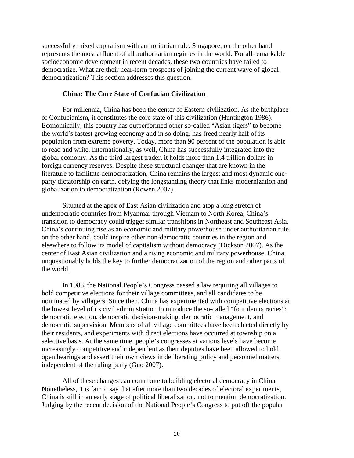successfully mixed capitalism with authoritarian rule. Singapore, on the other hand, represents the most affluent of all authoritarian regimes in the world. For all remarkable socioeconomic development in recent decades, these two countries have failed to democratize. What are their near-term prospects of joining the current wave of global democratization? This section addresses this question.

#### **China: The Core State of Confucian Civilization**

For millennia, China has been the center of Eastern civilization. As the birthplace of Confucianism, it constitutes the core state of this civilization (Huntington 1986). Economically, this country has outperformed other so-called "Asian tigers" to become the world's fastest growing economy and in so doing, has freed nearly half of its population from extreme poverty. Today, more than 90 percent of the population is able to read and write. Internationally, as well, China has successfully integrated into the global economy. As the third largest trader, it holds more than 1.4 trillion dollars in foreign currency reserves. Despite these structural changes that are known in the literature to facilitate democratization, China remains the largest and most dynamic oneparty dictatorship on earth, defying the longstanding theory that links modernization and globalization to democratization (Rowen 2007).

Situated at the apex of East Asian civilization and atop a long stretch of undemocratic countries from Myanmar through Vietnam to North Korea, China's transition to democracy could trigger similar transitions in Northeast and Southeast Asia. China's continuing rise as an economic and military powerhouse under authoritarian rule, on the other hand, could inspire other non-democratic countries in the region and elsewhere to follow its model of capitalism without democracy (Dickson 2007). As the center of East Asian civilization and a rising economic and military powerhouse, China unquestionably holds the key to further democratization of the region and other parts of the world.

In 1988, the National People's Congress passed a law requiring all villages to hold competitive elections for their village committees, and all candidates to be nominated by villagers. Since then, China has experimented with competitive elections at the lowest level of its civil administration to introduce the so-called "four democracies": democratic election, democratic decision-making, democratic management, and democratic supervision. Members of all village committees have been elected directly by their residents, and experiments with direct elections have occurred at township on a selective basis. At the same time, people's congresses at various levels have become increasingly competitive and independent as their deputies have been allowed to hold open hearings and assert their own views in deliberating policy and personnel matters, independent of the ruling party (Guo 2007).

All of these changes can contribute to building electoral democracy in China. Nonetheless, it is fair to say that after more than two decades of electoral experiments, China is still in an early stage of political liberalization, not to mention democratization. Judging by the recent decision of the National People's Congress to put off the popular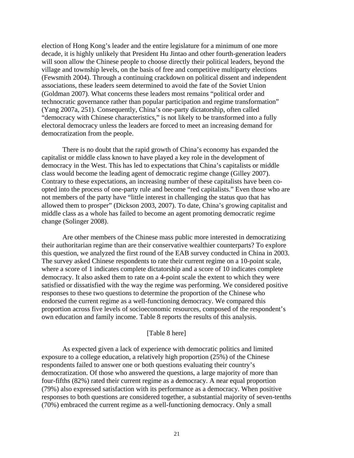election of Hong Kong's leader and the entire legislature for a minimum of one more decade, it is highly unlikely that President Hu Jintao and other fourth-generation leaders will soon allow the Chinese people to choose directly their political leaders, beyond the village and township levels, on the basis of free and competitive multiparty elections (Fewsmith 2004). Through a continuing crackdown on political dissent and independent associations, these leaders seem determined to avoid the fate of the Soviet Union (Goldman 2007). What concerns these leaders most remains "political order and technocratic governance rather than popular participation and regime transformation" (Yang 2007a, 251). Consequently, China's one-party dictatorship, often called "democracy with Chinese characteristics," is not likely to be transformed into a fully electoral democracy unless the leaders are forced to meet an increasing demand for democratization from the people.

There is no doubt that the rapid growth of China's economy has expanded the capitalist or middle class known to have played a key role in the development of democracy in the West. This has led to expectations that China's capitalists or middle class would become the leading agent of democratic regime change (Gilley 2007). Contrary to these expectations, an increasing number of these capitalists have been coopted into the process of one-party rule and become "red capitalists." Even those who are not members of the party have "little interest in challenging the status quo that has allowed them to prosper" (Dickson 2003, 2007). To date, China's growing capitalist and middle class as a whole has failed to become an agent promoting democratic regime change (Solinger 2008).

Are other members of the Chinese mass public more interested in democratizing their authoritarian regime than are their conservative wealthier counterparts? To explore this question, we analyzed the first round of the EAB survey conducted in China in 2003. The survey asked Chinese respondents to rate their current regime on a 10-point scale, where a score of 1 indicates complete dictatorship and a score of 10 indicates complete democracy. It also asked them to rate on a 4-point scale the extent to which they were satisfied or dissatisfied with the way the regime was performing. We considered positive responses to these two questions to determine the proportion of the Chinese who endorsed the current regime as a well-functioning democracy. We compared this proportion across five levels of socioeconomic resources, composed of the respondent's own education and family income. Table 8 reports the results of this analysis.

#### [Table 8 here]

As expected given a lack of experience with democratic politics and limited exposure to a college education, a relatively high proportion (25%) of the Chinese respondents failed to answer one or both questions evaluating their country's democratization. Of those who answered the questions, a large majority of more than four-fifths (82%) rated their current regime as a democracy. A near equal proportion (79%) also expressed satisfaction with its performance as a democracy. When positive responses to both questions are considered together, a substantial majority of seven-tenths (70%) embraced the current regime as a well-functioning democracy. Only a small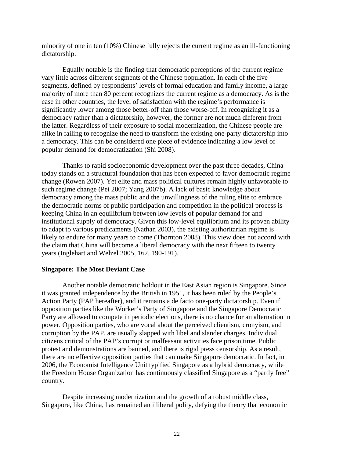minority of one in ten (10%) Chinese fully rejects the current regime as an ill-functioning dictatorship.

Equally notable is the finding that democratic perceptions of the current regime vary little across different segments of the Chinese population. In each of the five segments, defined by respondents' levels of formal education and family income, a large majority of more than 80 percent recognizes the current regime as a democracy. As is the case in other countries, the level of satisfaction with the regime's performance is significantly lower among those better-off than those worse-off. In recognizing it as a democracy rather than a dictatorship, however, the former are not much different from the latter. Regardless of their exposure to social modernization, the Chinese people are alike in failing to recognize the need to transform the existing one-party dictatorship into a democracy. This can be considered one piece of evidence indicating a low level of popular demand for democratization (Shi 2008).

Thanks to rapid socioeconomic development over the past three decades, China today stands on a structural foundation that has been expected to favor democratic regime change (Rowen 2007). Yet elite and mass political cultures remain highly unfavorable to such regime change (Pei 2007; Yang 2007b). A lack of basic knowledge about democracy among the mass public and the unwillingness of the ruling elite to embrace the democratic norms of public participation and competition in the political process is keeping China in an equilibrium between low levels of popular demand for and institutional supply of democracy. Given this low-level equilibrium and its proven ability to adapt to various predicaments (Nathan 2003), the existing authoritarian regime is likely to endure for many years to come (Thornton 2008). This view does not accord with the claim that China will become a liberal democracy with the next fifteen to twenty years (Inglehart and Welzel 2005, 162, 190-191).

#### **Singapore: The Most Deviant Case**

Another notable democratic holdout in the East Asian region is Singapore. Since it was granted independence by the British in 1951, it has been ruled by the People's Action Party (PAP hereafter), and it remains a de facto one-party dictatorship. Even if opposition parties like the Worker's Party of Singapore and the Singapore Democratic Party are allowed to compete in periodic elections, there is no chance for an alternation in power. Opposition parties, who are vocal about the perceived clientism, cronyism, and corruption by the PAP, are usually slapped with libel and slander charges. Individual citizens critical of the PAP's corrupt or malfeasant activities face prison time. Public protest and demonstrations are banned, and there is rigid press censorship. As a result, there are no effective opposition parties that can make Singapore democratic. In fact, in 2006, the Economist Intelligence Unit typified Singapore as a hybrid democracy, while the Freedom House Organization has continuously classified Singapore as a "partly free" country.

Despite increasing modernization and the growth of a robust middle class, Singapore, like China, has remained an illiberal polity, defying the theory that economic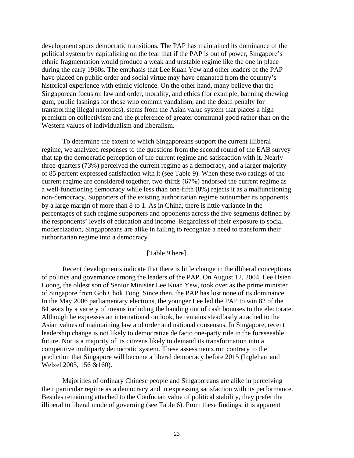development spurs democratic transitions. The PAP has maintained its dominance of the political system by capitalizing on the fear that if the PAP is out of power, Singapore's ethnic fragmentation would produce a weak and unstable regime like the one in place during the early 1960s. The emphasis that Lee Kuan Yew and other leaders of the PAP have placed on public order and social virtue may have emanated from the country's historical experience with ethnic violence. On the other hand, many believe that the Singaporean focus on law and order, morality, and ethics (for example, banning chewing gum, public lashings for those who commit vandalism, and the death penalty for transporting illegal narcotics), stems from the Asian value system that places a high premium on collectivism and the preference of greater communal good rather than on the Western values of individualism and liberalism.

To determine the extent to which Singaporeans support the current illiberal regime, we analyzed responses to the questions from the second round of the EAB survey that tap the democratic perception of the current regime and satisfaction with it. Nearly three-quarters (73%) perceived the current regime as a democracy, and a larger majority of 85 percent expressed satisfaction with it (see Table 9). When these two ratings of the current regime are considered together, two-thirds (67%) endorsed the current regime as a well-functioning democracy while less than one-fifth (8%) rejects it as a malfunctioning non-democracy. Supporters of the existing authoritarian regime outnumber its opponents by a large margin of more than 8 to 1. As in China, there is little variance in the percentages of such regime supporters and opponents across the five segments defined by the respondents' levels of education and income. Regardless of their exposure to social modernization, Singaporeans are alike in failing to recognize a need to transform their authoritarian regime into a democracy

#### [Table 9 here]

Recent developments indicate that there is little change in the illiberal conceptions of politics and governance among the leaders of the PAP. On August 12, 2004, Lee Hsien Loong, the oldest son of Senior Minister Lee Kuan Yew, took over as the prime minister of Singapore from Goh Chok Tong. Since then, the PAP has lost none of its dominance. In the May 2006 parliamentary elections, the younger Lee led the PAP to win 82 of the 84 seats by a variety of means including the handing out of cash bonuses to the electorate. Although he expresses an international outlook, he remains steadfastly attached to the Asian values of maintaining law and order and national consensus. In Singapore, recent leadership change is not likely to democratize de facto one-party rule in the foreseeable future. Nor is a majority of its citizens likely to demand its transformation into a competitive multiparty democratic system. These assessments run contrary to the prediction that Singapore will become a liberal democracy before 2015 (Inglehart and Welzel 2005, 156 &160).

Majorities of ordinary Chinese people and Singaporeans are alike in perceiving their particular regime as a democracy and in expressing satisfaction with its performance. Besides remaining attached to the Confucian value of political stability, they prefer the illiberal to liberal mode of governing (see Table 6). From these findings, it is apparent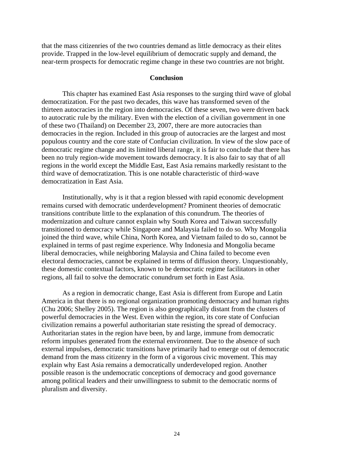that the mass citizenries of the two countries demand as little democracy as their elites provide. Trapped in the low-level equilibrium of democratic supply and demand, the near-term prospects for democratic regime change in these two countries are not bright.

#### **Conclusion**

This chapter has examined East Asia responses to the surging third wave of global democratization. For the past two decades, this wave has transformed seven of the thirteen autocracies in the region into democracies. Of these seven, two were driven back to autocratic rule by the military. Even with the election of a civilian government in one of these two (Thailand) on December 23, 2007, there are more autocracies than democracies in the region. Included in this group of autocracies are the largest and most populous country and the core state of Confucian civilization. In view of the slow pace of democratic regime change and its limited liberal range, it is fair to conclude that there has been no truly region-wide movement towards democracy. It is also fair to say that of all regions in the world except the Middle East, East Asia remains markedly resistant to the third wave of democratization. This is one notable characteristic of third-wave democratization in East Asia.

Institutionally, why is it that a region blessed with rapid economic development remains cursed with democratic underdevelopment? Prominent theories of democratic transitions contribute little to the explanation of this conundrum. The theories of modernization and culture cannot explain why South Korea and Taiwan successfully transitioned to democracy while Singapore and Malaysia failed to do so. Why Mongolia joined the third wave, while China, North Korea, and Vietnam failed to do so, cannot be explained in terms of past regime experience. Why Indonesia and Mongolia became liberal democracies, while neighboring Malaysia and China failed to become even electoral democracies, cannot be explained in terms of diffusion theory. Unquestionably, these domestic contextual factors, known to be democratic regime facilitators in other regions, all fail to solve the democratic conundrum set forth in East Asia.

As a region in democratic change, East Asia is different from Europe and Latin America in that there is no regional organization promoting democracy and human rights (Chu 2006; Shelley 2005). The region is also geographically distant from the clusters of powerful democracies in the West. Even within the region, its core state of Confucian civilization remains a powerful authoritarian state resisting the spread of democracy. Authoritarian states in the region have been, by and large, immune from democratic reform impulses generated from the external environment. Due to the absence of such external impulses, democratic transitions have primarily had to emerge out of democratic demand from the mass citizenry in the form of a vigorous civic movement. This may explain why East Asia remains a democratically underdeveloped region. Another possible reason is the undemocratic conceptions of democracy and good governance among political leaders and their unwillingness to submit to the democratic norms of pluralism and diversity.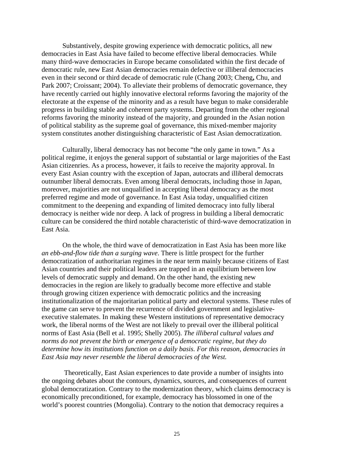Substantively, despite growing experience with democratic politics, all new democracies in East Asia have failed to become effective liberal democracies. While many third-wave democracies in Europe became consolidated within the first decade of democratic rule, new East Asian democracies remain defective or illiberal democracies even in their second or third decade of democratic rule (Chang 2003; Cheng**,** Chu, and Park 2007; Croissant; 2004). To alleviate their problems of democratic governance, they have recently carried out highly innovative electoral reforms favoring the majority of the electorate at the expense of the minority and as a result have begun to make considerable progress in building stable and coherent party systems. Departing from the other regional reforms favoring the minority instead of the majority, and grounded in the Asian notion of political stability as the supreme goal of governance, this mixed-member majority system constitutes another distinguishing characteristic of East Asian democratization.

Culturally, liberal democracy has not become "the only game in town." As a political regime, it enjoys the general support of substantial or large majorities of the East Asian citizenries. As a process, however, it fails to receive the majority approval. In every East Asian country with the exception of Japan, autocrats and illiberal democrats outnumber liberal democrats. Even among liberal democrats, including those in Japan, moreover, majorities are not unqualified in accepting liberal democracy as the most preferred regime and mode of governance. In East Asia today, unqualified citizen commitment to the deepening and expanding of limited democracy into fully liberal democracy is neither wide nor deep. A lack of progress in building a liberal democratic culture can be considered the third notable characteristic of third-wave democratization in East Asia.

On the whole, the third wave of democratization in East Asia has been more like *an ebb-and-flow tide than a surging wave*. There is little prospect for the further democratization of authoritarian regimes in the near term mainly because citizens of East Asian countries and their political leaders are trapped in an equilibrium between low levels of democratic supply and demand. On the other hand, the existing new democracies in the region are likely to gradually become more effective and stable through growing citizen experience with democratic politics and the increasing institutionalization of the majoritarian political party and electoral systems. These rules of the game can serve to prevent the recurrence of divided government and legislativeexecutive stalemates. In making these Western institutions of representative democracy work, the liberal norms of the West are not likely to prevail over the illiberal political norms of East Asia (Bell et al. 1995; Shelly 2005). *The illiberal cultural values and norms do not prevent the birth or emergence of a democratic regime, but they do determine how its institutions function on a daily basis. For this reason, democracies in East Asia may never resemble the liberal democracies of the West.*

 Theoretically, East Asian experiences to date provide a number of insights into the ongoing debates about the contours, dynamics, sources, and consequences of current global democratization. Contrary to the modernization theory, which claims democracy is economically preconditioned, for example, democracy has blossomed in one of the world's poorest countries (Mongolia). Contrary to the notion that democracy requires a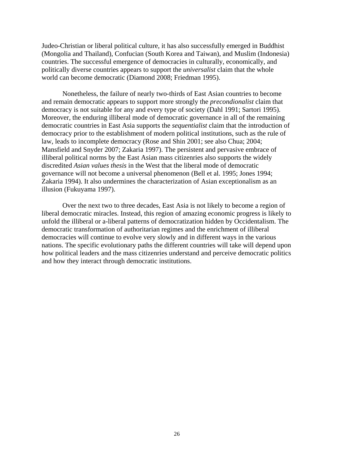Judeo-Christian or liberal political culture, it has also successfully emerged in Buddhist (Mongolia and Thailand), Confucian (South Korea and Taiwan), and Muslim (Indonesia) countries. The successful emergence of democracies in culturally, economically, and politically diverse countries appears to support the *universalist* claim that the whole world can become democratic (Diamond 2008; Friedman 1995).

Nonetheless, the failure of nearly two-thirds of East Asian countries to become and remain democratic appears to support more strongly the *precondionalist* claim that democracy is not suitable for any and every type of society (Dahl 1991; Sartori 1995). Moreover, the enduring illiberal mode of democratic governance in all of the remaining democratic countries in East Asia supports the *sequentialist* claim that the introduction of democracy prior to the establishment of modern political institutions, such as the rule of law, leads to incomplete democracy (Rose and Shin 2001; see also Chua; 2004; Mansfield and Snyder 2007; Zakaria 1997). The persistent and pervasive embrace of illiberal political norms by the East Asian mass citizenries also supports the widely discredited *Asian values thesis* in the West that the liberal mode of democratic governance will not become a universal phenomenon (Bell et al. 1995; Jones 1994; Zakaria 1994). It also undermines the characterization of Asian exceptionalism as an illusion (Fukuyama 1997).

Over the next two to three decades, East Asia is not likely to become a region of liberal democratic miracles. Instead, this region of amazing economic progress is likely to unfold the illiberal or a-liberal patterns of democratization hidden by Occidentalism. The democratic transformation of authoritarian regimes and the enrichment of illiberal democracies will continue to evolve very slowly and in different ways in the various nations. The specific evolutionary paths the different countries will take will depend upon how political leaders and the mass citizenries understand and perceive democratic politics and how they interact through democratic institutions.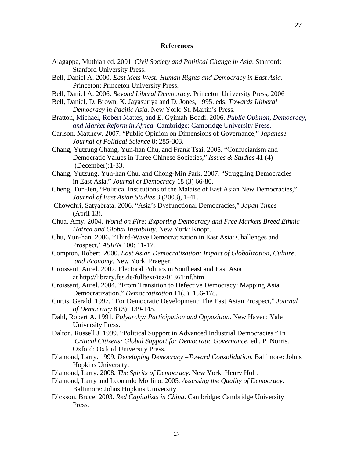#### **References**

- Alagappa, Muthiah ed. 2001. *Civil Society and Political Change in Asia*. Stanford: Stanford University Press.
- Bell, Daniel A. 2000. *East Mets West: Human Rights and Democracy in East Asia*. Princeton: Princeton University Press.
- Bell, Daniel A. 2006. *Beyond Liberal Democracy.* Princeton University Press, 2006

Bell, Daniel, D. Brown, K. Jayasuriya and D. Jones, 1995. eds. *Towards Illiberal Democracy in Pacific Asia*. New York: St. Martin's Press.

- Bratton, Michael, Robert Mattes*,* and E. Gyimah-Boadi. 2006. *Public Opinion, Democracy, and Market Reform in Africa.* Cambridge: Cambridge University Press.
- Carlson, Matthew. 2007. "Public Opinion on Dimensions of Governance," *Japanese Journal of Political Science* 8: 285-303.
- Chang, Yutzung Chang, Yun-han Chu, and Frank Tsai. 2005. "Confucianism and Democratic Values in Three Chinese Societies," *Issues & Studies* 41 (4) (December):1-33.
- Chang, Yutzung, Yun-han Chu, and Chong-Min Park. 2007. "Struggling Democracies in East Asia," *Journal of Democracy* 18 (3) 66-80.
- Cheng, Tun-Jen, "Political Institutions of the Malaise of East Asian New Democracies," *Journal of East Asian Studies* 3 (2003), 1-41.
- Chowdhri, Satyabrata. 2006. "Asia's Dysfunctional Democracies," *Japan Times* (April 13).
- Chua, Amy. 2004. *World on Fire: Exporting Democracy and Free Markets Breed Ethnic Hatred and Global Instability*. New York: Knopf.
- Chu, Yun-han. 2006. "Third-Wave Democratization in East Asia: Challenges and Prospect,' *ASIEN* 100: 11-17.
- Compton, Robert. 2000. *East Asian Democratization: Impact of Globalization, Culture, and Economy*. New York: Praeger.
- Croissant, Aurel. 2002. Electoral Politics in Southeast and East Asia at http://library.fes.de/fulltext/iez/01361inf.htm
- Croissant, Aurel. 2004. "From Transition to Defective Democracy: Mapping Asia Democratization," *Democratization* 11(5): 156-178.
- Curtis, Gerald. 1997. "For Democratic Development: The East Asian Prospect," *Journal of Democracy* 8 (3): 139-145.
- Dahl, Robert A. 1991. *Polyarchy: Participation and Opposition*. New Haven: Yale University Press.
- Dalton, Russell J. 1999. "Political Support in Advanced Industrial Democracies." In *Critical Citizens: Global Support for Democratic Governance*, ed., P. Norris. Oxford: Oxford University Press.
- Diamond, Larry. 1999. *Developing Democracy –Toward Consolidation*. Baltimore: Johns Hopkins University.
- Diamond, Larry. 2008. *The Spirits of Democracy*. New York: Henry Holt.
- Diamond, Larry and Leonardo Morlino. 2005*. Assessing the Quality of Democracy*. Baltimore: Johns Hopkins University.
- Dickson, Bruce. 2003. *Red Capitalists in China*. Cambridge: Cambridge University Press.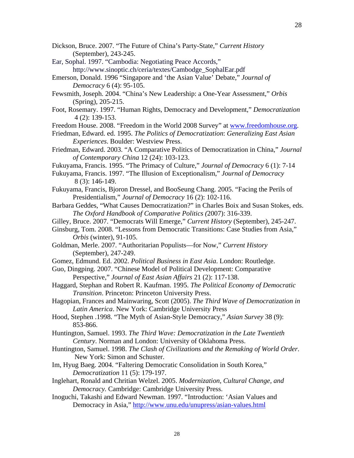- Dickson, Bruce. 2007. "The Future of China's Party-State," *Current History* (September), 243-245.
- Ear, Sophal. 1997. "Cambodia: Negotiating Peace Accords," http://www.sinoptic.ch/ceria/textes/Cambodge\_SophalEar.pdf
- Emerson, Donald. 1996 "Singapore and 'the Asian Value' Debate," *Journal of Democracy* 6 (4): 95-105.
- Fewsmith, Joseph. 2004. "China's New Leadership: a One-Year Assessment," *Orbis* (Spring), 205-215.
- Foot, Rosemary. 1997. "Human Rights, Democracy and Development," *Democratization* 4 (2): 139-153.
- Freedom House. 2008. "Freedom in the World 2008 Survey" at [www.freedomhouse.org.](http://www.freedomhouse.org/)
- Friedman*,* Edward. ed. 1995. *The Politics of Democratization*: *Generalizing East Asian Experiences*. Boulder: Westview Press.
- Friedman, Edward. 2003. "A Comparative Politics of Democratization in China," *Journal of Contemporary China* 12 (24): 103-123.
- Fukuyama, Francis. 1995. "The Primacy of Culture," *Journal of Democracy* 6 (1): 7-14
- Fukuyama, Francis. 1997. "The Illusion of Exceptionalism," *Journal of Democracy* 8 (3): 146-149.
- Fukuyama, Francis, Bjoron Dressel, and BooSeung Chang. 2005. "Facing the Perils of Presidentialism," *Journal of Democracy* 16 (2): 102-116.
- Barbara Geddes, "What Causes Democratization?" in Charles Boix and Susan Stokes, eds. *The Oxford Handbook of Comparative Politics (*2007): 316-339.
- Gilley, Bruce. 2007. "Democrats Will Emerge," *Current History* (September), 245-247.
- Ginsburg, Tom. 2008. "Lessons from Democratic Transitions: Case Studies from Asia," *Orbis* (winter), 91-105.
- Goldman, Merle. 2007. "Authoritarian Populists—for Now," *Current History* (September), 247-249.
- Gomez, Edmund. Ed. 2002. *Political Business in East Asia*. London: Routledge.
- Guo, Dingping. 2007. "Chinese Model of Political Development: Comparative Perspective," *Journal of East Asian Affairs* 21 (2): 117-138.
- Haggard, Stephan and Robert R. Kaufman. 1995. *The Political Economy of Democratic Transition*. Princeton: Princeton University Press.
- Hagopian, Frances and Mainwaring, Scott (2005). *The Third Wave of Democratization in Latin America*. New York: Cambridge University Press
- Hood, Stephen .1998. "The Myth of Asian-Style Democracy," *Asian Survey* 38 (9): 853-866.
- Huntington, Samuel. 1993. *The Third Wave: Democratization in the Late Twentieth Century*. Norman and London: University of Oklahoma Press.
- Huntington, Samuel. 1998. *The Clash of Civilizations and the Remaking of World Order*. New York: Simon and Schuster.
- Im, Hyug Baeg. 2004. "Faltering Democratic Consolidation in South Korea," *Democratization* 11 (5): 179-197.
- Inglehart, Ronald and Chritian Welzel. 2005. *Modernization, Cultural Change, and Democracy.* Cambridge: Cambridge University Press.
- Inoguchi, Takashi and Edward Newman. 1997. "Introduction: 'Asian Values and Democracy in Asia,"<http://www.unu.edu/unupress/asian-values.html>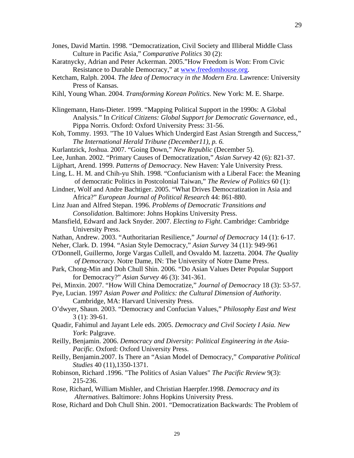- Karatnycky, Adrian and Peter Ackerman. 2005."How Freedom is Won: From Civic Resistance to Durable Democracy," at [www.freedomhouse.org.](http://www.freedomhouse.org/)
- Ketcham, Ralph. 2004. *The Idea of Democracy in the Modern Era*. Lawrence: University Press of Kansas.
- Kihl, Young Whan. 2004. *Transforming Korean Politics*. New York: M. E. Sharpe.
- Klingemann, Hans-Dieter. 1999. "Mapping Political Support in the 1990s: A Global Analysis." In *Critical Citizens: Global Support for Democratic Governance*, ed., Pippa Norris. Oxford: Oxford University Press: 31-56.
- Koh, Tommy. 1993. "The 10 Values Which Undergird East Asian Strength and Success," *The International Herald Tribune (December11), p. 6.*
- Kurlantzick, Joshua. 2007. "Going Down," *New Republic* (December 5).
- Lee, Junhan. 2002. "Primary Causes of Democratization," *Asian Survey* 42 (6): 821-37.
- Lijphart, Arend. 1999. *Patterns of Democracy*. New Haven: Yale University Press.
- Ling, L. H. M. and Chih-yu Shih. 1998. "Confucianism with a Liberal Face: the Meaning of democratic Politics in Postcolonial Taiwan," *The Review of Politics* 60 (1):
- Lindner, Wolf and Andre Bachtiger. 2005. "What Drives Democratization in Asia and Africa?" *European Journal of Political Research* 44: 861-880.
- Linz Juan and Alfred Stepan. 1996. *Problems of Democratic Transitions and Consolidation*. Baltimore: Johns Hopkins University Press.
- Mansfield, Edward and Jack Snyder. 2007. *Electing to Fight*. Cambridge: Cambridge University Press.
- Nathan, Andrew. 2003. "Authoritarian Resilience," *Journal of Democracy* 14 (1): 6-17.
- Neher, Clark. D. 1994. "Asian Style Democracy," *Asian Survey* 34 (11): 949-961
- O'Donnell, Guillermo, Jorge Vargas Cullell, and Osvaldo M. Iazzetta. 2004. *The Quality of Democracy*. Notre Dame, IN: The University of Notre Dame Press.
- Park, Chong-Min and Doh Chull Shin. 2006. "Do Asian Values Deter Popular Support for Democracy?" *Asian Survey* 46 (3): 341-361.
- Pei, Minxin. 2007. "How Will China Democratize," *Journal of Democracy* 18 (3): 53-57.
- Pye, Lucian. 1997 *Asian Power and Politics: the Cultural Dimension of Authority*. Cambridge, MA: Harvard University Press.
- O'dwyer, Shaun. 2003. "Democracy and Confucian Values," *Philosophy East and West* 3 (1): 39-61.
- Quadir, Fahimul and Jayant Lele eds. 2005. *Democracy and Civil Society I Asia. New York*: Palgrave.
- Reilly, Benjamin. 2006. *Democracy and Diversity: Political Engineering in the Asia- Pacific.* Oxford: Oxford University Press.
- Reilly, Benjamin.2007. Is There an "Asian Model of Democracy," *Comparative Political Studies* 40 (11),1350-1371.
- Robinson, Richard .1996. "The Politics of Asian Values" *The Pacific Review* 9(3): 215-236.
- Rose, Richard, William Mishler, and Christian Haerpfer.1998. *Democracy and its Alternatives*. Baltimore: Johns Hopkins University Press.
- Rose, Richard and Doh Chull Shin. 2001. "Democratization Backwards: The Problem of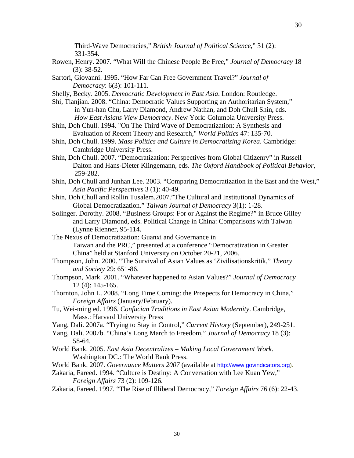Third-Wave Democracies," *British Journal of Political Science*," 31 (2): 331-354.

- Rowen, Henry. 2007. "What Will the Chinese People Be Free," *Journal of Democracy* 18 (3): 38-52.
- Sartori, Giovanni. 1995. "How Far Can Free Government Travel?" *Journal of Democracy*: 6(3): 101-111.
- Shelly, Becky. 2005. *Democratic Development in East Asia*. London: Routledge.
- Shi, Tianjian. 2008. "China: Democratic Values Supporting an Authoritarian System," in Yun-han Chu, Larry Diamond, Andrew Nathan, and Doh Chull Shin, eds. *How East Asians View Democracy*. New York: Columbia University Press.
- Shin, Doh Chull. 1994. "On The Third Wave of Democratization: A Synthesis and Evaluation of Recent Theory and Research," *World Politics* 47: 135-70.
- Shin, Doh Chull. 1999. *Mass Politics and Culture in Democratizing Korea*. Cambridge: Cambridge University Press.
- Shin, Doh Chull. 2007. "Democratization: Perspectives from Global Citizenry" in Russell Dalton and Hans-Dieter Klingemann, eds. *The Oxford Handbook of Political Behavior*, 259-282.
- Shin, Doh Chull and Junhan Lee. 2003. "Comparing Democratization in the East and the West," *Asia Pacific Perspectives* 3 (1): 40-49.
- Shin, Doh Chull and Rollin Tusalem.2007."The Cultural and Institutional Dynamics of Global Democratization." *Taiwan Journal of Democracy* 3(1): 1-28.
- Solinger. Dorothy. 2008. "Business Groups: For or Against the Regime?" in Bruce Gilley and Larry Diamond, eds. Political Change in China: Comparisons with Taiwan (Lynne Rienner, 95-114.
- The Nexus of Democratization: Guanxi and Governance in Taiwan and the PRC," presented at a conference "Democratization in Greater China" held at Stanford University on October 20-21, 2006.
- Thompson, John. 2000. "The Survival of Asian Values as 'Zivilisationskritik," *Theory and Society* 29: 651-86.
- Thompson, Mark. 2001. "Whatever happened to Asian Values?" *Journal of Democracy* 12 (4): 145-165.
- Thornton, John L. 2008. "Long Time Coming: the Prospects for Democracy in China," *Foreign Affairs* (January/February).
- Tu, Wei-ming ed. 1996. *Confucian Traditions in East Asian Modernity*. Cambridge, Mass.: Harvard University Press
- Yang, Dali. 2007a. "Trying to Stay in Control," *Current History* (September), 249-251.
- Yang, Dali. 2007b. "China's Long March to Freedom," *Journal of Democracy* 18 (3): 58-64.
- World Bank. 2005. *East Asia Decentralizes Making Local Government Work*. Washington DC.: The World Bank Press.
- World Bank. 2007. *Governance Matters 2007* (available at [http://www.govindicators.org\)](http://www.govindicators.org/).
- Zakaria, Fareed. 1994. "Culture is Destiny: A Conversation with Lee Kuan Yew," *Foreign Affairs* 73 (2): 109-126.
- Zakaria, Fareed. 1997. "The Rise of Illiberal Democracy," *Foreign Affairs* 76 (6): 22-43.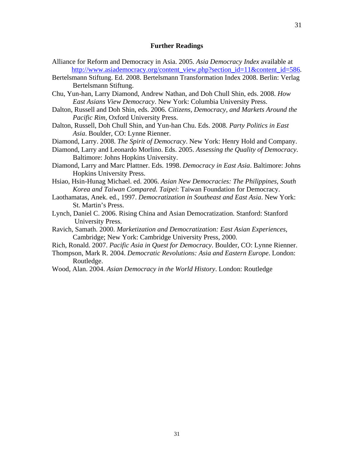#### **Further Readings**

- Alliance for Reform and Democracy in Asia. 2005. *Asia Democracy Index* available at [http://www.asiademocracy.org/content\\_view.php?section\\_id=11&content\\_id=586.](http://www.asiademocracy.org/content_view.php?section_id=11&content_id=586)
- Bertelsmann Stiftung. Ed. 2008. Bertelsmann Transformation Index 2008. Berlin: Verlag Bertelsmann Stiftung.
- Chu, Yun-han, Larry Diamond, Andrew Nathan, and Doh Chull Shin, eds. 2008. *How East Asians View Democracy*. New York: Columbia University Press.
- Dalton, Russell and Doh Shin, eds. 2006. *Citizens, Democracy, and Markets Around the Pacific Rim*, Oxford University Press.
- Dalton, Russell, Doh Chull Shin, and Yun-han Chu. Eds. 2008. *Party Politics in East Asia*. Boulder, CO: Lynne Rienner.
- Diamond, Larry. 2008. *The Spirit of Democracy*. New York: Henry Hold and Company.
- Diamond, Larry and Leonardo Morlino. Eds. 2005. *Assessing the Quality of Democracy*. Baltimore: Johns Hopkins University.
- Diamond, Larry and Marc Plattner. Eds. 1998. *Democracy in East Asia*. Baltimore: Johns Hopkins University Press.
- Hsiao, Hsin-Hunag Michael. ed. 2006. *Asian New Democracies: The Philippines, South Korea and Taiwan Compared. Taipei*: Taiwan Foundation for Democracy.
- Laothamatas, Anek. ed., 1997. *Democratization in Southeast and East Asia*. New York: St. Martin's Press.
- Lynch, Daniel C. 2006. Rising China and Asian Democratization. Stanford: Stanford University Press.
- Ravich, Samath. 2000. *Marketization and Democratization: East Asian Experiences*, Cambridge; New York: Cambridge University Press, 2000.
- Rich, Ronald. 2007. *Pacific Asia in Quest for Democracy*. Boulder, CO: Lynne Rienner.
- Thompson, Mark R. 2004. *Democratic Revolutions: Asia and Eastern Europe*. London: Routledge.
- Wood, Alan. 2004. *Asian Democracy in the World History*. London: Routledge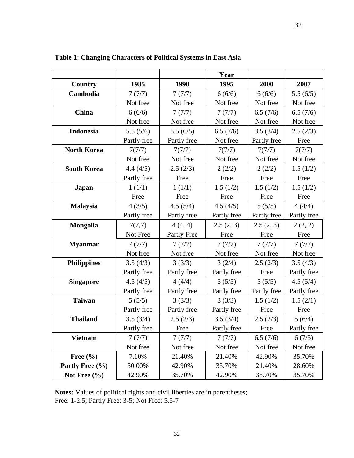|                    |             |             | Year        |             |             |
|--------------------|-------------|-------------|-------------|-------------|-------------|
| <b>Country</b>     | 1985        | 1990        | 1995        | 2000        | 2007        |
| Cambodia           | 7(7/7)      | 7(7/7)      | 6(6/6)      | 6(6/6)      | 5.5(6/5)    |
|                    | Not free    | Not free    | Not free    | Not free    | Not free    |
| <b>China</b>       | 6(6/6)      | 7(7/7)      | 7(7/7)      | 6.5(7/6)    | 6.5(7/6)    |
|                    | Not free    | Not free    | Not free    | Not free    | Not free    |
| Indonesia          | 5.5(5/6)    | 5.5(6/5)    | 6.5(7/6)    | 3.5(3/4)    | 2.5(2/3)    |
|                    | Partly free | Partly free | Not free    | Partly free | Free        |
| <b>North Korea</b> | 7(7/7)      | 7(7/7)      | 7(7/7)      | 7(7/7)      | 7(7/7)      |
|                    | Not free    | Not free    | Not free    | Not free    | Not free    |
| <b>South Korea</b> | 4.4(4/5)    | 2.5(2/3)    | 2(2/2)      | 2(2/2)      | 1.5(1/2)    |
|                    | Partly free | Free        | Free        | Free        | Free        |
| <b>Japan</b>       | 1(1/1)      | 1(1/1)      | 1.5(1/2)    | 1.5(1/2)    | 1.5(1/2)    |
|                    | Free        | Free        | Free        | Free        | Free        |
| <b>Malaysia</b>    | 4(3/5)      | 4.5(5/4)    | 4.5(4/5)    | 5(5/5)      | 4(4/4)      |
|                    | Partly free | Partly free | Partly free | Partly free | Partly free |
| Mongolia           | 7(7,7)      | 4(4, 4)     | 2.5(2, 3)   | 2.5(2, 3)   | 2(2, 2)     |
|                    | Not Free    | Partly Free | Free        | Free        | Free        |
| <b>Myanmar</b>     | 7(7/7)      | 7(7/7)      | 7(7/7)      | 7(7/7)      | 7(7/7)      |
|                    | Not free    | Not free    | Not free    | Not free    | Not free    |
| <b>Philippines</b> | 3.5(4/3)    | 3(3/3)      | 3(2/4)      | 2.5(2/3)    | 3.5(4/3)    |
|                    | Partly free | Partly free | Partly free | Free        | Partly free |
| <b>Singapore</b>   | 4.5(4/5)    | 4(4/4)      | 5(5/5)      | 5(5/5)      | 4.5(5/4)    |
|                    | Partly free | Partly free | Partly free | Partly free | Partly free |
| <b>Taiwan</b>      | 5(5/5)      | 3(3/3)      | 3(3/3)      | 1.5(1/2)    | 1.5(2/1)    |
|                    | Partly free | Partly free | Partly free | Free        | Free        |
| <b>Thailand</b>    | 3.5(3/4)    | 2.5(2/3)    | 3.5(3/4)    | 2.5(2/3)    | 5(6/4)      |
|                    | Partly free | Free        | Partly free | Free        | Partly free |
| <b>Vietnam</b>     | 7(7/7)      | 7(7/7)      | 7(7/7)      | 6.5(7/6)    | 6(7/5)      |
|                    | Not free    | Not free    | Not free    | Not free    | Not free    |
| Free $(\% )$       | 7.10%       | 21.40%      | 21.40%      | 42.90%      | 35.70%      |
| Partly Free (%)    | 50.00%      | 42.90%      | 35.70%      | 21.40%      | 28.60%      |
| Not Free $(\% )$   | 42.90%      | 35.70%      | 42.90%      | 35.70%      | 35.70%      |

**Table 1: Changing Characters of Political Systems in East Asia** 

**Notes:** Values of political rights and civil liberties are in parentheses; Free: 1-2.5; Partly Free: 3-5; Not Free: 5.5-7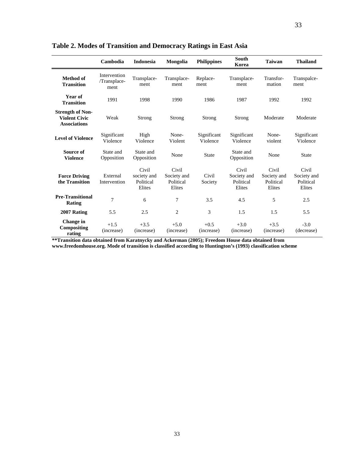|                                                                        | Cambodia                             | <b>Indonesia</b>                            | Mongolia                                    | <b>Philippines</b>      | <b>South</b><br>Korea                       | <b>Taiwan</b>                               | <b>Thailand</b>                             |
|------------------------------------------------------------------------|--------------------------------------|---------------------------------------------|---------------------------------------------|-------------------------|---------------------------------------------|---------------------------------------------|---------------------------------------------|
| <b>Method</b> of<br><b>Transition</b>                                  | Intervention<br>/Transplace-<br>ment | Transplace-<br>ment                         | Transplace-<br>ment                         | Replace-<br>ment        | Transplace-<br>ment                         | Transfor-<br>mation                         | Transpalce-<br>ment                         |
| Year of<br><b>Transition</b>                                           | 1991                                 | 1998                                        | 1990                                        | 1986                    | 1987                                        | 1992                                        | 1992                                        |
| <b>Strength of Non-</b><br><b>Violent Civic</b><br><b>Associations</b> | Weak                                 | Strong                                      | Strong                                      | Strong                  | Strong                                      | Moderate                                    | Moderate                                    |
| <b>Level of Violence</b>                                               | Significant<br>Violence              | High<br>Violence                            | None-<br>Violent                            | Significant<br>Violence | Significant<br>Violence                     | None-<br>violent                            | Significant<br>Violence                     |
| Source of<br><b>Violence</b>                                           | State and<br>Opposition              | State and<br>Opposition                     | None                                        | <b>State</b>            | State and<br>Opposition                     | None                                        | <b>State</b>                                |
| <b>Force Driving</b><br>the Transition                                 | External<br>Intervention             | Civil<br>society and<br>Political<br>Elites | Civil<br>Society and<br>Political<br>Elites | Civil<br>Society        | Civil<br>Society and<br>Political<br>Elites | Civil<br>Society and<br>Political<br>Elites | Civil<br>Society and<br>Political<br>Elites |
| <b>Pre-Transitional</b><br>Rating                                      | $\overline{7}$                       | 6                                           | $\boldsymbol{7}$                            | 3.5                     | 4.5                                         | 5                                           | 2.5                                         |
| 2007 Rating                                                            | 5.5                                  | 2.5                                         | $\overline{c}$                              | 3                       | 1.5                                         | 1.5                                         | 5.5                                         |
| Change in<br>Compositing<br>rating                                     | $+1.5$<br>(increase)                 | $+3.5$<br>(increase)                        | $+5.0$<br>(increase)                        | $+0.5$<br>(increase)    | $+3.0$<br>(increase)                        | $+3.5$<br>(increase)                        | $-3.0$<br>(decrease)                        |

**Table 2. Modes of Transition and Democracy Ratings in East Asia** 

**\*\*Transition data obtained from Karatnycky and Ackerman (2005); Freedom House data obtained from www.freedomhouse.org. Mode of transition is classified according to Huntington's (1993) classification scheme**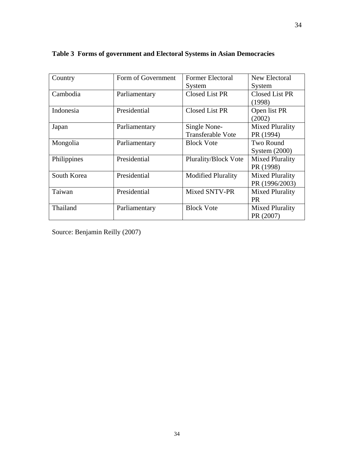| Country     | Form of Government | <b>Former Electoral</b>   | New Electoral          |
|-------------|--------------------|---------------------------|------------------------|
|             |                    | System                    | System                 |
| Cambodia    | Parliamentary      | <b>Closed List PR</b>     | <b>Closed List PR</b>  |
|             |                    |                           | (1998)                 |
| Indonesia   | Presidential       | <b>Closed List PR</b>     | Open list PR           |
|             |                    |                           | (2002)                 |
| Japan       | Parliamentary      | Single None-              | <b>Mixed Plurality</b> |
|             |                    | <b>Transferable Vote</b>  | PR (1994)              |
| Mongolia    | Parliamentary      | <b>Block Vote</b>         | Two Round              |
|             |                    |                           | System $(2000)$        |
| Philippines | Presidential       | Plurality/Block Vote      | <b>Mixed Plurality</b> |
|             |                    |                           | PR (1998)              |
| South Korea | Presidential       | <b>Modified Plurality</b> | Mixed Plurality        |
|             |                    |                           | PR (1996/2003)         |
| Taiwan      | Presidential       | <b>Mixed SNTV-PR</b>      | <b>Mixed Plurality</b> |
|             |                    |                           | <b>PR</b>              |
| Thailand    | Parliamentary      | <b>Block Vote</b>         | Mixed Plurality        |
|             |                    |                           | PR (2007)              |

# **Table 3 Forms of government and Electoral Systems in Asian Democracies**

Source: Benjamin Reilly (2007)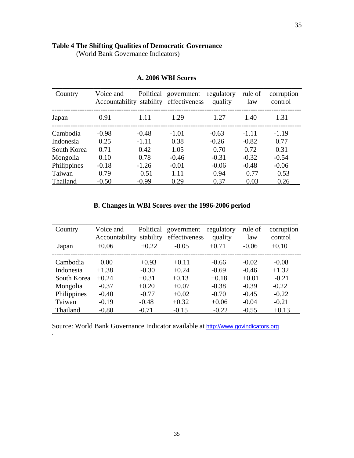# **Table 4 The Shifting Qualities of Democratic Governance**

(World Bank Governance Indicators)

| Country     | Voice and |         | Political government<br>Accountability stability effectiveness | regulatory<br>quality | rule of<br>law | corruption<br>control |
|-------------|-----------|---------|----------------------------------------------------------------|-----------------------|----------------|-----------------------|
| Japan       | 0.91      | 1.11    | 1.29                                                           | 1.27                  | 1.40           | 1.31                  |
| Cambodia    | $-0.98$   | $-0.48$ | $-1.01$                                                        | $-0.63$               | $-1.11$        | $-1.19$               |
| Indonesia   | 0.25      | $-1.11$ | 0.38                                                           | $-0.26$               | $-0.82$        | 0.77                  |
| South Korea | 0.71      | 0.42    | 1.05                                                           | 0.70                  | 0.72           | 0.31                  |
| Mongolia    | 0.10      | 0.78    | $-0.46$                                                        | $-0.31$               | $-0.32$        | $-0.54$               |
| Philippines | $-0.18$   | $-1.26$ | $-0.01$                                                        | $-0.06$               | $-0.48$        | $-0.06$               |
| Taiwan      | 0.79      | 0.51    | 1.11                                                           | 0.94                  | 0.77           | 0.53                  |
| Thailand    | $-0.50$   | $-0.99$ | 0.29                                                           | 0.37                  | 0.03           | 0.26                  |

# **A. 2006 WBI Scores**

# **B. Changes in WBI Scores over the 1996-2006 period**

| Country     | Voice and      | Political | government    | regulatory | rule of | corruption |
|-------------|----------------|-----------|---------------|------------|---------|------------|
|             | Accountability | stability | effectiveness | quality    | law     | control    |
| Japan       | $+0.06$        | $+0.22$   | $-0.05$       | $+0.71$    | $-0.06$ | $+0.10$    |
|             |                |           |               |            |         |            |
| Cambodia    | 0.00           | $+0.93$   | $+0.11$       | $-0.66$    | $-0.02$ | $-0.08$    |
| Indonesia   | $+1.38$        | $-0.30$   | $+0.24$       | $-0.69$    | $-0.46$ | $+1.32$    |
| South Korea | $+0.24$        | $+0.31$   | $+0.13$       | $+0.18$    | $+0.01$ | $-0.21$    |
| Mongolia    | $-0.37$        | $+0.20$   | $+0.07$       | $-0.38$    | $-0.39$ | $-0.22$    |
| Philippines | $-0.40$        | $-0.77$   | $+0.02$       | $-0.70$    | $-0.45$ | $-0.22$    |
| Taiwan      | $-0.19$        | $-0.48$   | $+0.32$       | $+0.06$    | $-0.04$ | $-0.21$    |
| Thailand    | $-0.80$        | $-0.71$   | $-0.15$       | $-0.22$    | $-0.55$ | $+0.13$    |

Source: World Bank Governance Indicator available at [http://www.govindicators.org](http://www.govindicators.org/)

.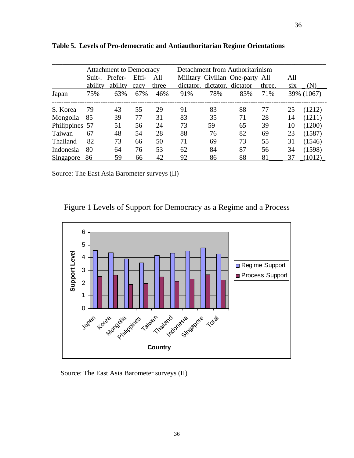|                | <b>Attachment to Democracy</b> |                    |               |              |     | Detachment from Authoritarinism |                                 |        |            |            |
|----------------|--------------------------------|--------------------|---------------|--------------|-----|---------------------------------|---------------------------------|--------|------------|------------|
|                | Suit-.<br>ability              | Prefer-<br>ability | Effi-<br>cacy | All<br>three |     | dictator. dictator. dictator    | Military Civilian One-party All | three. | All<br>S1X | (N)        |
| Japan          | 75%                            | 63%                | 67%           | 46%          | 91% | 78%                             | 83%                             | 71%    |            | 39% (1067) |
| S. Korea       | 79                             | 43                 | 55            | 29           | 91  | 83                              | 88                              | 77     | 25         | (1212)     |
| Mongolia       | 85                             | 39                 | 77            | 31           | 83  | 35                              | 71                              | 28     | 14         | (1211)     |
| Philippines 57 |                                | 51                 | 56            | 24           | 73  | 59                              | 65                              | 39     | 10         | (1200)     |
| Taiwan         | 67                             | 48                 | 54            | 28           | 88  | 76                              | 82                              | 69     | 23         | (1587)     |
| Thailand       | 82                             | 73                 | 66            | 50           | 71  | 69                              | 73                              | 55     | 31         | (1546)     |
| Indonesia      | 80                             | 64                 | 76            | 53           | 62  | 84                              | 87                              | 56     | 34         | (1598)     |
| Singapore      | 86                             | 59                 | 66            | 42           | 92  | 86                              | 88                              | 81     | 37         | (1012)     |

**Table 5. Levels of Pro-democratic and Antiauthoritarian Regime Orientations** 

Source: The East Asia Barometer surveys (II)

Figure 1 Levels of Support for Democracy as a Regime and a Process



Source: The East Asia Barometer surveys (II)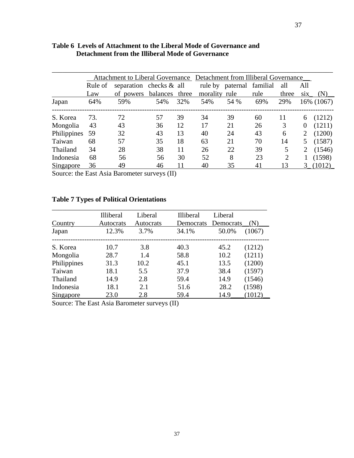|             |         |                         |          |       | Attachment to Liberal Governance Detachment from Illiberal Governance |                  |          |       |     |            |
|-------------|---------|-------------------------|----------|-------|-----------------------------------------------------------------------|------------------|----------|-------|-----|------------|
|             | Rule of | separation checks & all |          |       |                                                                       | rule by paternal | familial | all   | All |            |
|             | Law     | of powers               | balances | three | morality rule                                                         |                  | rule     | three | S1X | (N)        |
| Japan       | 64%     | 59%                     | 54%      | 32%   | 54%                                                                   | 54 %             | 69%      | 29%   |     | 16% (1067) |
| S. Korea    | 73.     | 72                      | 57       | 39    | 34                                                                    | 39               | 60       | 11    | 6   | (1212)     |
| Mongolia    | 43      | 43                      | 36       | 12    | 17                                                                    | 21               | 26       | 3     | 0   | (1211)     |
| Philippines | 59      | 32                      | 43       | 13    | 40                                                                    | 24               | 43       | 6     | 2   | (1200)     |
| Taiwan      | 68      | 57                      | 35       | 18    | 63                                                                    | 21               | 70       | 14    | 5   | (1587)     |
| Thailand    | 34      | 28                      | 38       | 11    | 26                                                                    | 22               | 39       | 5     | 2   | (1546)     |
| Indonesia   | 68      | 56                      | 56       | 30    | 52                                                                    | 8                | 23       | 2     |     | (1598)     |
| Singapore   | 36      | 49                      | 46       | 11    | 40                                                                    | 35               | 41       | 13    |     | 3(1012)    |

# **Table 6 Levels of Attachment to the Liberal Mode of Governance and Detachment from the Illiberal Mode of Governance**

Source: the East Asia Barometer surveys (II)

# **Table 7 Types of Political Orientations**

|                  | <b>Illiberal</b> | Liberal          | <b>Illiberal</b> | Liberal   |        |
|------------------|------------------|------------------|------------------|-----------|--------|
| Country          | Autocrats        | <b>Autocrats</b> | Democrats        | Democrats |        |
| Japan            | 12.3%            | 3.7%             | 34.1%            | 50.0%     | (1067) |
| S. Korea         | 10.7             | 3.8              | 40.3             | 45.2      | (1212) |
| Mongolia         | 28.7             | 1.4              | 58.8             | 10.2      | (1211) |
| Philippines      | 31.3             | 10.2             | 45.1             | 13.5      | (1200) |
| Taiwan           | 18.1             | 5.5              | 37.9             | 38.4      | (1597) |
| <b>Thailand</b>  | 14.9             | 2.8              | 59.4             | 14.9      | (1546) |
| Indonesia        | 18.1             | 2.1              | 51.6             | 28.2      | (1598) |
| <b>Singapore</b> | 23.0             | 2.8              | 59.4             | 14.9      | (1012) |

Source: The East Asia Barometer surveys (II)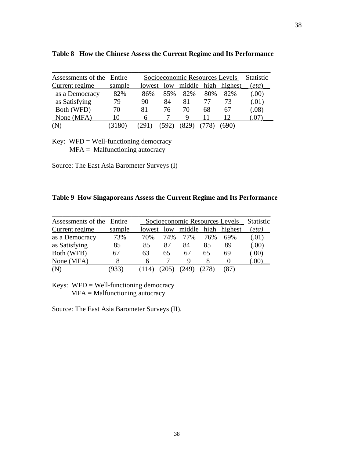| Assessments of the Entire |        | Socioeconomic Resources Levels | <b>Statistic</b> |        |     |              |       |
|---------------------------|--------|--------------------------------|------------------|--------|-----|--------------|-------|
| Current regime            | sample | lowest low                     |                  | middle |     | high highest | (eta) |
| as a Democracy            | 82%    | 86%                            | 85%              | 82%    | 80% | 82%          | (00)  |
| as Satisfying             | 79     | 90                             | 84               | 81     |     | 73           | (.01) |
| Both (WFD)                | 70     | 81                             | 76               | 70     | 68  | 67           | (.08) |
| None (MFA)                | 10     | h                              |                  | 9      |     |              |       |
| (N)                       | 3180)  | (291)                          | (592)            | (829)  |     | (690)        |       |

**Table 8 How the Chinese Assess the Current Regime and Its Performance** 

\_\_\_\_\_\_\_\_\_\_\_\_\_\_\_\_\_\_\_\_\_\_\_\_\_\_\_\_\_\_\_\_\_\_\_\_\_\_\_\_\_\_\_\_\_\_\_\_\_\_\_\_\_\_\_\_\_\_\_\_\_\_\_

Key: WFD = Well-functioning democracy  $MFA = \text{Malfunctioning autocracy}$ 

Source: The East Asia Barometer Surveys (I)

# **Table 9 How Singaporeans Assess the Current Regime and Its Performance**

| Assessments of the Entire |        |        | Socioeconomic Resources Levels |        |      |         |              |  |  |  |
|---------------------------|--------|--------|--------------------------------|--------|------|---------|--------------|--|--|--|
| Current regime            | sample | lowest | low                            | middle | high | highest | (eta)        |  |  |  |
| as a Democracy            | 73%    | 70%    | 74%                            | 77%    | 76%  | 69%     | (.01)        |  |  |  |
| as Satisfying             | 85     | 85     | 87                             | 84     | 85   | 89      | (0.00)       |  |  |  |
| Both (WFB)                | 67     | 63     | 65                             | 67     | 65   | 69      | (0.00)       |  |  |  |
| None (MFA)                | x      | h      |                                | ч      |      |         | $\dot{.}00)$ |  |  |  |
| (N)                       |        |        |                                |        |      | (87     |              |  |  |  |

Keys: WFD = Well-functioning democracy MFA = Malfunctioning autocracy

Source: The East Asia Barometer Surveys (II).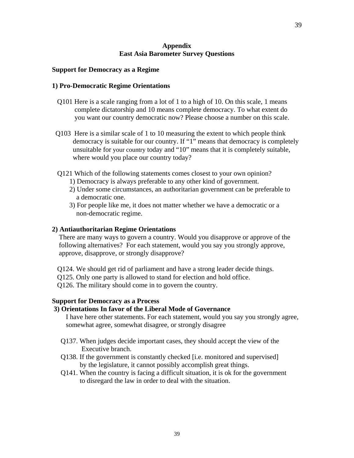## **Appendix East Asia Barometer Survey Questions**

#### **Support for Democracy as a Regime**

#### **1) Pro-Democratic Regime Orientations**

- Q101 Here is a scale ranging from a lot of 1 to a high of 10. On this scale, 1 means complete dictatorship and 10 means complete democracy. To what extent do you want our country democratic now? Please choose a number on this scale.
- Q103 Here is a similar scale of 1 to 10 measuring the extent to which people think democracy is suitable for our country. If "1" means that democracy is completely unsuitable for your country today and "10" means that it is completely suitable, where would you place our country today?
- Q121 Which of the following statements comes closest to your own opinion?
	- 1) Democracy is always preferable to any other kind of government.
	- 2) Under some circumstances, an authoritarian government can be preferable to a democratic one.
	- 3) For people like me, it does not matter whether we have a democratic or a non-democratic regime.

#### **2) Antiauthoritarian Regime Orientations**

 There are many ways to govern a country. Would you disapprove or approve of the following alternatives? For each statement, would you say you strongly approve, approve, disapprove, or strongly disapprove?

- Q124. We should get rid of parliament and have a strong leader decide things.
- Q125. Only one party is allowed to stand for election and hold office.
- Q126. The military should come in to govern the country.

#### **Support for Democracy as a Process**

#### **3) Orientations In favor of the Liberal Mode of Governance**

 I have here other statements. For each statement, would you say you strongly agree, somewhat agree, somewhat disagree, or strongly disagree

- Q137. When judges decide important cases, they should accept the view of the Executive branch.
- Q138. If the government is constantly checked [i.e. monitored and supervised] by the legislature, it cannot possibly accomplish great things.
- Q141. When the country is facing a difficult situation, it is ok for the government to disregard the law in order to deal with the situation.